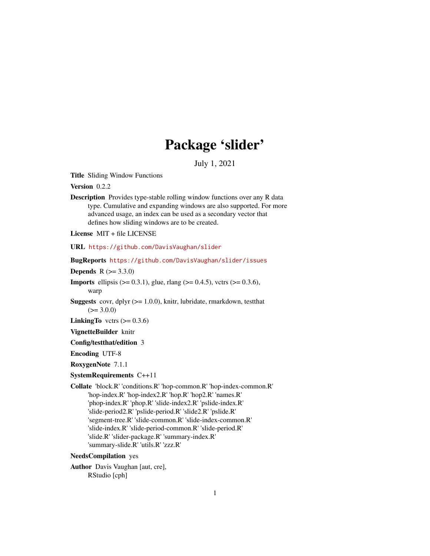## Package 'slider'

July 1, 2021

<span id="page-0-0"></span>Title Sliding Window Functions

Version 0.2.2

Description Provides type-stable rolling window functions over any R data type. Cumulative and expanding windows are also supported. For more advanced usage, an index can be used as a secondary vector that defines how sliding windows are to be created.

License MIT + file LICENSE

URL <https://github.com/DavisVaughan/slider>

BugReports <https://github.com/DavisVaughan/slider/issues>

**Depends** R  $(>= 3.3.0)$ 

- **Imports** ellipsis ( $> = 0.3.1$ ), glue, rlang ( $> = 0.4.5$ ), vctrs ( $> = 0.3.6$ ), warp
- Suggests covr, dplyr (>= 1.0.0), knitr, lubridate, rmarkdown, testthat  $(>= 3.0.0)$

**LinkingTo** vctrs  $(>= 0.3.6)$ 

VignetteBuilder knitr

Config/testthat/edition 3

Encoding UTF-8

RoxygenNote 7.1.1

SystemRequirements C++11

Collate 'block.R' 'conditions.R' 'hop-common.R' 'hop-index-common.R' 'hop-index.R' 'hop-index2.R' 'hop.R' 'hop2.R' 'names.R' 'phop-index.R' 'phop.R' 'slide-index2.R' 'pslide-index.R' 'slide-period2.R' 'pslide-period.R' 'slide2.R' 'pslide.R' 'segment-tree.R' 'slide-common.R' 'slide-index-common.R' 'slide-index.R' 'slide-period-common.R' 'slide-period.R' 'slide.R' 'slider-package.R' 'summary-index.R' 'summary-slide.R' 'utils.R' 'zzz.R'

## NeedsCompilation yes

Author Davis Vaughan [aut, cre], RStudio [cph]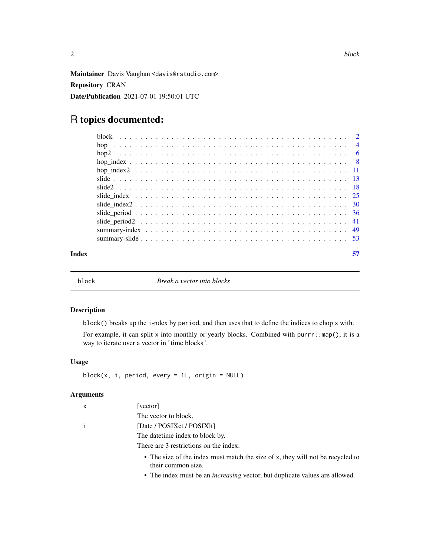<span id="page-1-0"></span>Maintainer Davis Vaughan <davis@rstudio.com> Repository CRAN Date/Publication 2021-07-01 19:50:01 UTC

## R topics documented:

| Index |  |
|-------|--|

<span id="page-1-1"></span>

block *Break a vector into blocks*

#### Description

block() breaks up the i-ndex by period, and then uses that to define the indices to chop x with.

For example, it can split x into monthly or yearly blocks. Combined with purrr::map(), it is a way to iterate over a vector in "time blocks".

## Usage

```
block(x, i, period, every = 1L, origin = NULL)
```
## Arguments

| $\mathsf{x}$ | [vector]                                                                                             |
|--------------|------------------------------------------------------------------------------------------------------|
|              | The vector to block.                                                                                 |
| i            | [Date / POSIXct / POSIXIt]                                                                           |
|              | The date time index to block by.                                                                     |
|              | There are 3 restrictions on the index:                                                               |
|              | • The size of the index must match the size of x, they will not be recycled to<br>their common size. |
|              |                                                                                                      |

• The index must be an *increasing* vector, but duplicate values are allowed.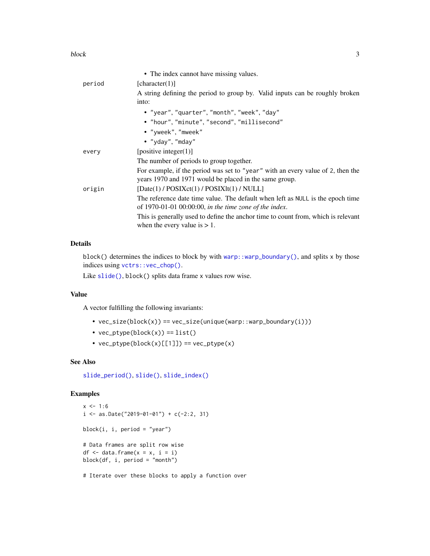#### <span id="page-2-0"></span>block 3

|        | • The index cannot have missing values.                                                                                                   |
|--------|-------------------------------------------------------------------------------------------------------------------------------------------|
| period | [character(1)]                                                                                                                            |
|        | A string defining the period to group by. Valid inputs can be roughly broken                                                              |
|        | into:                                                                                                                                     |
|        | • "year", "quarter", "month", "week", "day"                                                                                               |
|        | • "hour", "minute", "second", "millisecond"                                                                                               |
|        | • "yweek", "mweek"                                                                                                                        |
|        | • "yday", "mday"                                                                                                                          |
| every  | [positive integer(1)]                                                                                                                     |
|        | The number of periods to group together.                                                                                                  |
|        | For example, if the period was set to "year" with an every value of 2, then the<br>years 1970 and 1971 would be placed in the same group. |
| origin | [Date(1) / POSIXct(1) / POSIXlt(1) / NULL]                                                                                                |
|        | The reference date time value. The default when left as NULL is the epoch time<br>of 1970-01-01 00:00:00, in the time zone of the index.  |
|        | This is generally used to define the anchor time to count from, which is relevant<br>when the every value is $> 1$ .                      |
|        |                                                                                                                                           |

## Details

block() determines the indices to block by with [warp::warp\\_boundary\(\)](#page-0-0), and splits x by those indices using [vctrs::vec\\_chop\(\)](#page-0-0).

Like [slide\(\)](#page-12-1), block() splits data frame x values row wise.

## Value

A vector fulfilling the following invariants:

- vec\_size(block(x)) == vec\_size(unique(warp::warp\_boundary(i)))
- $vec_ptype(block(x)) == list()$
- vec\_ptype(block(x)[[1]]) == vec\_ptype(x)

## See Also

[slide\\_period\(\)](#page-35-1), [slide\(\)](#page-12-1), [slide\\_index\(\)](#page-24-1)

## Examples

```
x \le -1:6i \le - as.Date("2019-01-01") + c(-2:2, 31)
block(i, i, period = "year")
# Data frames are split row wise
df \le data.frame(x = x, i = i)
block(df, i, period = "month")
```
# Iterate over these blocks to apply a function over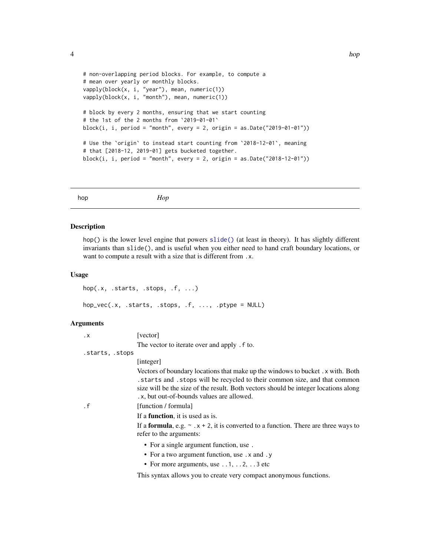```
# non-overlapping period blocks. For example, to compute a
# mean over yearly or monthly blocks.
vapply(block(x, i, "year"), mean, numeric(1))
vapply(block(x, i, "month"), mean, numeric(1))
# block by every 2 months, ensuring that we start counting
# the 1st of the 2 months from `2019-01-01`
block(i, i, period = "month", every = 2, origin = as.Date("2019-01-01"))
# Use the `origin` to instead start counting from `2018-12-01`, meaning
# that [2018-12, 2019-01] gets bucketed together.
block(i, i, period = "month", every = 2, origin = as.Date("2018-12-01"))
```
<span id="page-3-1"></span>hop *Hop*

#### Description

hop() is the lower level engine that powers [slide\(\)](#page-12-1) (at least in theory). It has slightly different invariants than slide(), and is useful when you either need to hand craft boundary locations, or want to compute a result with a size that is different from .x.

#### Usage

```
hop(.x, .starts, .stops, .f, ...)
hop_vec(.x, .starts, .stops, .f, ..., .ptype = NULL)
```
#### Arguments

| $\cdot$ X       | [vector]                                                                                                                                                                                                                                                                                      |
|-----------------|-----------------------------------------------------------------------------------------------------------------------------------------------------------------------------------------------------------------------------------------------------------------------------------------------|
|                 | The vector to iterate over and apply . f to.                                                                                                                                                                                                                                                  |
| .starts, .stops |                                                                                                                                                                                                                                                                                               |
|                 | [integer]                                                                                                                                                                                                                                                                                     |
|                 | Vectors of boundary locations that make up the windows to bucket. x with. Both<br>starts and stops will be recycled to their common size, and that common<br>size will be the size of the result. Both vectors should be integer locations along<br>.x, but out-of-bounds values are allowed. |
| . $\mathsf f$   | [function / formula]                                                                                                                                                                                                                                                                          |
|                 | If a <b>function</b> , it is used as is.                                                                                                                                                                                                                                                      |
|                 | If a <b>formula</b> , e.g. $\sim x + 2$ , it is converted to a function. There are three ways to<br>refer to the arguments:                                                                                                                                                                   |
|                 | • For a single argument function, use.                                                                                                                                                                                                                                                        |
|                 | • For a two argument function, use . x and . y                                                                                                                                                                                                                                                |
|                 | • For more arguments, use $\dots$ 1, $\dots$ 2, $\dots$ 3 etc                                                                                                                                                                                                                                 |
|                 |                                                                                                                                                                                                                                                                                               |

This syntax allows you to create very compact anonymous functions.

<span id="page-3-0"></span>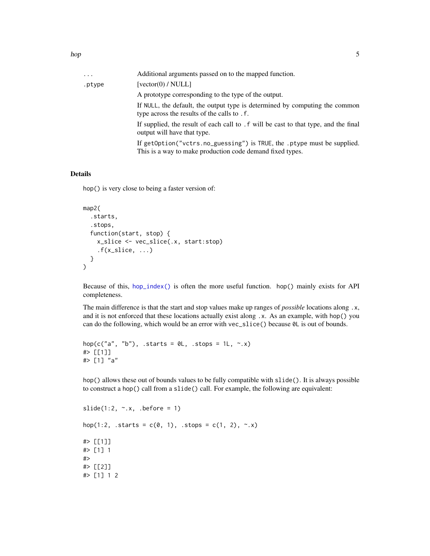<span id="page-4-0"></span>

| Additional arguments passed on to the mapped function.                                                                               |
|--------------------------------------------------------------------------------------------------------------------------------------|
| $\lceil vector(0)/NULL \rceil$                                                                                                       |
| A prototype corresponding to the type of the output.                                                                                 |
| If NULL, the default, the output type is determined by computing the common<br>type across the results of the calls to . f.          |
| If supplied, the result of each call to $f$ will be cast to that type, and the final<br>output will have that type.                  |
| If getOption("vctrs.no_guessing") is TRUE, the .ptype must be supplied.<br>This is a way to make production code demand fixed types. |
|                                                                                                                                      |

#### Details

hop() is very close to being a faster version of:

```
map2(
  .starts,
  .stops,
  function(start, stop) {
    x_slice <- vec_slice(.x, start:stop)
    .f(x_slice, ...)}
\mathcal{L}
```
Because of this, [hop\\_index\(\)](#page-7-1) is often the more useful function. hop() mainly exists for API completeness.

The main difference is that the start and stop values make up ranges of *possible* locations along .x, and it is not enforced that these locations actually exist along .x. As an example, with hop() you can do the following, which would be an error with vec\_slice() because 0L is out of bounds.

```
hop(c("a", "b"), .starts = \emptysetL, .stops = 1L, ~.x)
#> [[1]]
#> [1] "a"
```
hop() allows these out of bounds values to be fully compatible with slide(). It is always possible to construct a hop() call from a slide() call. For example, the following are equivalent:

```
slide(1:2, \sim.x, .before = 1)
hop(1:2, .starts = c(0, 1), .stops = c(1, 2), \sim.x)
#> [[1]]
#> [1] 1
#>
#> [[2]]
#> [1] 1 2
```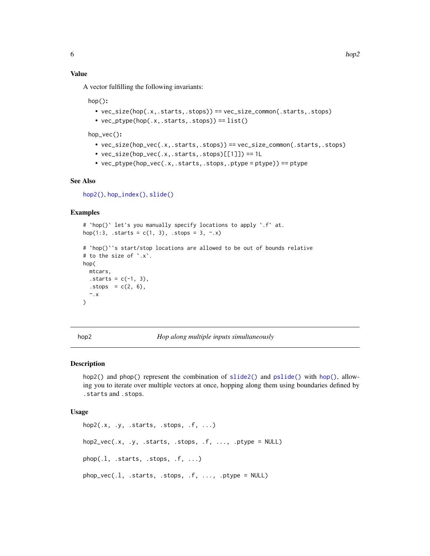## <span id="page-5-0"></span>Value

A vector fulfilling the following invariants:

hop():

- vec\_size(hop(.x,.starts,.stops)) == vec\_size\_common(.starts,.stops)
- $vec_p(t)$  vec\_ptype(hop(.x,.starts,.stops)) ==  $list()$

hop\_vec():

- vec\_size(hop\_vec(.x,.starts,.stops)) == vec\_size\_common(.starts,.stops)
- vec\_size(hop\_vec(.x,.starts,.stops)[[1]]) == 1L
- $vec_p$  ptype(hop\_vec(.x,.starts,.stops,.ptype = ptype)) == ptype

## See Also

[hop2\(\)](#page-5-1), [hop\\_index\(\)](#page-7-1), [slide\(\)](#page-12-1)

#### Examples

```
# `hop()` let's you manually specify locations to apply `.f` at.
hop(1:3, .starts = c(1, 3), .stops = 3, \sim.x)
# `hop()`'s start/stop locations are allowed to be out of bounds relative
# to the size of `.x`.
hop(
 mtcars,
  . starts = c(-1, 3),. stops = c(2, 6),\sim.x
)
```
<span id="page-5-1"></span>hop2 *Hop along multiple inputs simultaneously*

## Description

hop2() and phop() represent the combination of [slide2\(\)](#page-17-1) and [pslide\(\)](#page-17-2) with [hop\(\)](#page-3-1), allowing you to iterate over multiple vectors at once, hopping along them using boundaries defined by .starts and .stops.

#### Usage

```
hop2(.x, .y, .starts, .stops, .f, ...)
hop2\_vec(.x, .y, .starts, .stops, .f, . . ., .ptype = NULL)phop(.l, .starts, .stops, .f, ...)
phop\_vec(.1, .starts, .stops, .f, . . ., .ptype = NULL)
```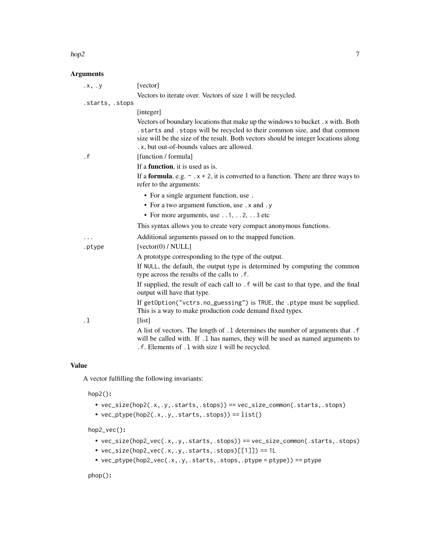#### $h$ op2 7

## Arguments

| .x, .y          | [vector]                                                                                                                                                                                                                                                                                           |
|-----------------|----------------------------------------------------------------------------------------------------------------------------------------------------------------------------------------------------------------------------------------------------------------------------------------------------|
|                 | Vectors to iterate over. Vectors of size 1 will be recycled.                                                                                                                                                                                                                                       |
| .starts, .stops |                                                                                                                                                                                                                                                                                                    |
|                 | [integer]                                                                                                                                                                                                                                                                                          |
|                 | Vectors of boundary locations that make up the windows to bucket . x with. Both<br>. starts and . stops will be recycled to their common size, and that common<br>size will be the size of the result. Both vectors should be integer locations along<br>.x, but out-of-bounds values are allowed. |
| $\cdot$ f       | [function / formula]                                                                                                                                                                                                                                                                               |
|                 | If a <b>function</b> , it is used as is.                                                                                                                                                                                                                                                           |
|                 | If a <b>formula</b> , e.g. $\sim x + 2$ , it is converted to a function. There are three ways to<br>refer to the arguments:                                                                                                                                                                        |
|                 | • For a single argument function, use.                                                                                                                                                                                                                                                             |
|                 | • For a two argument function, use . x and . y                                                                                                                                                                                                                                                     |
|                 | • For more arguments, use $\dots$ 1, $\dots$ 2, $\dots$ 3 etc                                                                                                                                                                                                                                      |
|                 | This syntax allows you to create very compact anonymous functions.                                                                                                                                                                                                                                 |
|                 | Additional arguments passed on to the mapped function.                                                                                                                                                                                                                                             |
| .ptype          | [vector(0) / NULL]                                                                                                                                                                                                                                                                                 |
|                 | A prototype corresponding to the type of the output.                                                                                                                                                                                                                                               |
|                 | If NULL, the default, the output type is determined by computing the common<br>type across the results of the calls to .f.                                                                                                                                                                         |
|                 | If supplied, the result of each call to . f will be cast to that type, and the final<br>output will have that type.                                                                                                                                                                                |
|                 | If getOption("vctrs.no_guessing") is TRUE, the .ptype must be supplied.<br>This is a way to make production code demand fixed types.                                                                                                                                                               |
| $\cdot$ 1       | [list]                                                                                                                                                                                                                                                                                             |
|                 | A list of vectors. The length of .1 determines the number of arguments that .f<br>will be called with. If .1 has names, they will be used as named arguments to<br>.f. Elements of .1 with size 1 will be recycled.                                                                                |

## Value

A vector fulfilling the following invariants:

hop2():

- vec\_size(hop2(.x,.y,.starts,.stops)) == vec\_size\_common(.starts,.stops)
- $vec_ptype(hop2(.x,.y,.starts,.stops)) == list()$

hop2\_vec():

- vec\_size(hop2\_vec(.x,.y,.starts,.stops)) == vec\_size\_common(.starts,.stops)
- $vec_size(hop2\_vec(.x,.y,.starts,.stops)[[1]]) == 1L$
- $vec_ptype(hop2\_vec(.x,.y,.starts,.stops,.ptype = ptype)) == ptype$

phop():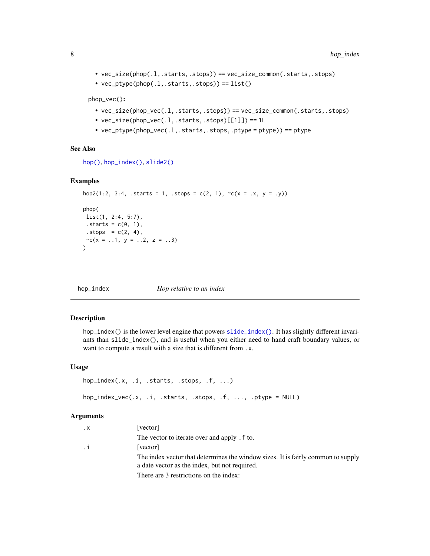```
• vec_size(phop(.l,.starts,.stops)) == vec_size_common(.starts,.stops)
```
•  $vec_ptype(phop(.1,.starts,.stops)) == list()$ 

phop\_vec():

- vec\_size(phop\_vec(.l,.starts,.stops)) == vec\_size\_common(.starts,.stops)
- $vec\_size(phop\_vec(.1, .starts, .stops)[[1]]) == 1L$
- vec\_ptype(phop\_vec(.l,.starts,.stops,.ptype = ptype)) == ptype

#### See Also

[hop\(\)](#page-3-1), [hop\\_index\(\)](#page-7-1), [slide2\(\)](#page-17-1)

#### Examples

```
hop2(1:2, 3:4, .starts = 1, .stops = c(2, 1), \sim c(x = .x, y = .y))
phop(
list(1, 2:4, 5:7),
.starts = c(\emptyset, 1),
 .stops = c(2, 4),\sim c(x = .1, y = .2, z = .3)\mathcal{L}
```
<span id="page-7-1"></span>

hop\_index *Hop relative to an index*

#### Description

hop\_index() is the lower level engine that powers [slide\\_index\(\)](#page-24-1). It has slightly different invariants than slide\_index(), and is useful when you either need to hand craft boundary values, or want to compute a result with a size that is different from .x.

#### Usage

```
hop_index(.x, .i, .starts, .stops, .f, ...)
hop_index_vec(.x, .i, .starts, .stops, .f, ..., .ptype = NULL)
```
#### Arguments

| $\cdot$ X | [vector]                                                                                                                          |
|-----------|-----------------------------------------------------------------------------------------------------------------------------------|
|           | The vector to iterate over and apply . f to.                                                                                      |
| .i        | [vector]                                                                                                                          |
|           | The index vector that determines the window sizes. It is fairly common to supply<br>a date vector as the index, but not required. |
|           | There are 3 restrictions on the index:                                                                                            |

<span id="page-7-0"></span>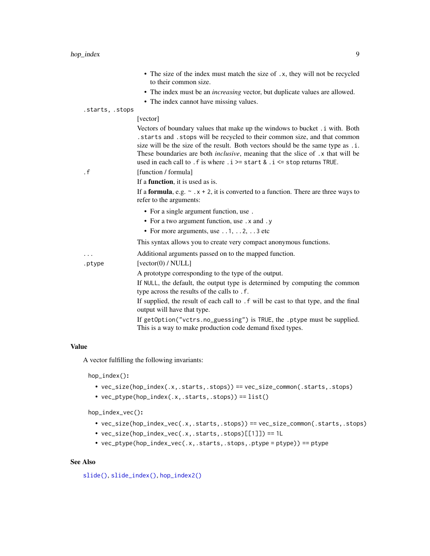- The size of the index must match the size of .x, they will not be recycled to their common size.
- The index must be an *increasing* vector, but duplicate values are allowed.
- The index cannot have missing values.

<span id="page-8-0"></span>.starts, .stops

### [vector]

Vectors of boundary values that make up the windows to bucket .i with. Both .starts and .stops will be recycled to their common size, and that common size will be the size of the result. Both vectors should be the same type as .i. These boundaries are both *inclusive*, meaning that the slice of .x that will be used in each call to . f is where  $\therefore$  i > start &  $\therefore$  i < stop returns TRUE.

.f [function / formula]

If a function, it is used as is.

If a **formula**, e.g.  $\sim x + 2$ , it is converted to a function. There are three ways to refer to the arguments:

- For a single argument function, use .
- For a two argument function, use . x and . y
- For more arguments, use . . 1, . . 2, . . 3 etc

This syntax allows you to create very compact anonymous functions.

... Additional arguments passed on to the mapped function.

.ptype [vector(0) / NULL]

A prototype corresponding to the type of the output.

If NULL, the default, the output type is determined by computing the common type across the results of the calls to .f.

If supplied, the result of each call to .f will be cast to that type, and the final output will have that type.

If getOption("vctrs.no\_guessing") is TRUE, the .ptype must be supplied. This is a way to make production code demand fixed types.

#### Value

A vector fulfilling the following invariants:

hop\_index():

- vec\_size(hop\_index(.x,.starts,.stops)) == vec\_size\_common(.starts,.stops)
- vec\_ptype(hop\_index(.x,.starts,.stops)) == list()

hop\_index\_vec():

- vec\_size(hop\_index\_vec(.x,.starts,.stops)) == vec\_size\_common(.starts,.stops)
- vec\_size(hop\_index\_vec(.x,.starts,.stops)[[1]]) == 1L
- vec\_ptype(hop\_index\_vec(.x,.starts,.stops,.ptype = ptype)) == ptype

#### See Also

```
slide(), slide_index(), hop_index2()
```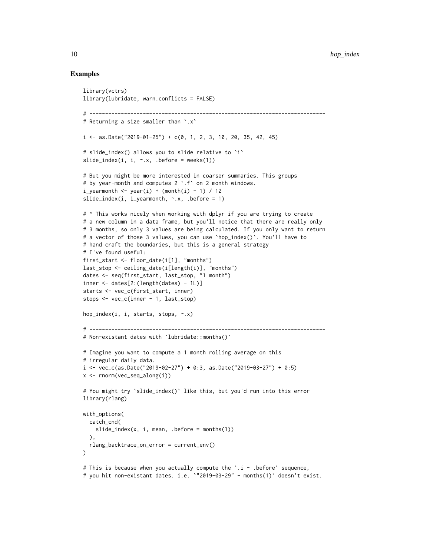#### Examples

```
library(vctrs)
library(lubridate, warn.conflicts = FALSE)
# ---------------------------------------------------------------------------
# Returning a size smaller than `.x`
i \leq - as.Date("2019-01-25") + c(0, 1, 2, 3, 10, 20, 35, 42, 45)
# slide_index() allows you to slide relative to `i`
slide_index(i, i, \sim.x, .before = weeks(1))
# But you might be more interested in coarser summaries. This groups
# by year-month and computes 2 `.f` on 2 month windows.
i-yearmonth \leq year(i) + (month(i) - 1) / 12
slide_index(i, i_yearmonth, \sim.x, .before = 1)
# ^ This works nicely when working with dplyr if you are trying to create
# a new column in a data frame, but you'll notice that there are really only
# 3 months, so only 3 values are being calculated. If you only want to return
# a vector of those 3 values, you can use `hop_index()`. You'll have to
# hand craft the boundaries, but this is a general strategy
# I've found useful:
first_start <- floor_date(i[1], "months")
last_stop <- ceiling_date(i[length(i)], "months")
dates <- seq(first_start, last_stop, "1 month")
inner <- dates[2:(length(dates) - 1L)]
starts <- vec_c(first_start, inner)
stops <- vec_c(inner - 1, last_stop)
hop_index(i, i, starts, stops, ~.x)
# ---------------------------------------------------------------------------
# Non-existant dates with `lubridate::months()`
# Imagine you want to compute a 1 month rolling average on this
# irregular daily data.
i \leq vec_c(as.Date("2019-02-27") + 0:3, as.Date("2019-03-27") + 0:5)
x \leftarrow \text{norm}(vec\_seq\_along(i))# You might try `slide_index()` like this, but you'd run into this error
library(rlang)
with_options(
  catch_cnd(
   slide\_index(x, i, mean, .before = months(1))),
  rlang_backtrace_on_error = current_env()
\lambda# This is because when you actually compute the `.i - .before` sequence,
# you hit non-existant dates. i.e. `"2019-03-29" - months(1)` doesn't exist.
```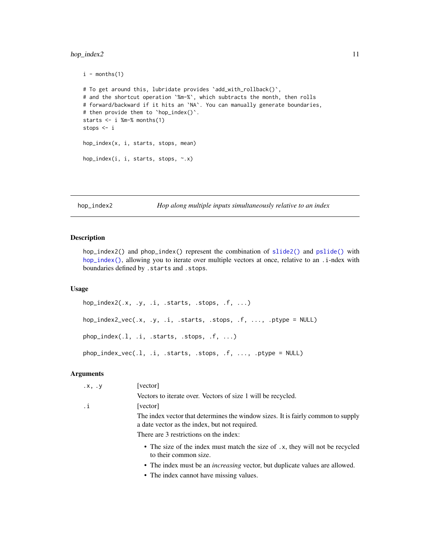## <span id="page-10-0"></span>hop\_index2 11

```
i - months(1)
# To get around this, lubridate provides 'add_with_rollback()',
# and the shortcut operation `%m-%`, which subtracts the month, then rolls
# forward/backward if it hits an `NA`. You can manually generate boundaries,
# then provide them to `hop_index()`.
starts \leq -i %m-% months(1)
stops <- i
hop_index(x, i, starts, stops, mean)
hop_index(i, i, starts, stops, ~.x)
```

```
hop_index2 Hop along multiple inputs simultaneously relative to an index
```
#### Description

hop\_index2() and phop\_index() represent the combination of [slide2\(\)](#page-17-1) and [pslide\(\)](#page-17-2) with [hop\\_index\(\)](#page-7-1), allowing you to iterate over multiple vectors at once, relative to an .i-ndex with boundaries defined by .starts and .stops.

#### Usage

```
hop_index2(.x, y, i, .starts, .stops, .f, ...)
hop_index2_vec(.x, .y, .i, .starts, .stops, .f, ..., .ptype = NULL)
phop_index(.l, .i, .starts, .stops, .f, ...)
phop_index_vec(.l, .i, .starts, .stops, .f, ..., .ptype = NULL)
```
#### Arguments

| $\cdot$ x, $\cdot$ y | [vector]                                                                                                                          |
|----------------------|-----------------------------------------------------------------------------------------------------------------------------------|
|                      | Vectors to iterate over. Vectors of size 1 will be recycled.                                                                      |
| .i                   | [vector]                                                                                                                          |
|                      | The index vector that determines the window sizes. It is fairly common to supply<br>a date vector as the index, but not required. |
|                      | There are 3 restrictions on the index:                                                                                            |
|                      | • The size of the index must match the size of .x, they will not be recycled<br>to their common size.                             |
|                      | • The index must be an <i>increasing</i> vector, but duplicate values are allowed.                                                |
|                      |                                                                                                                                   |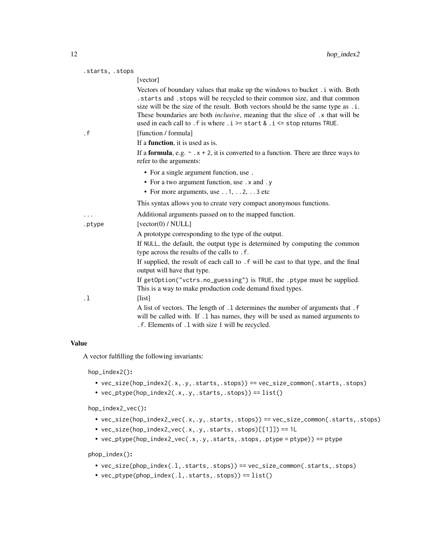| .starts, .stops |                                                                                                                                                                                                                                                                                                                                                                                                                                              |
|-----------------|----------------------------------------------------------------------------------------------------------------------------------------------------------------------------------------------------------------------------------------------------------------------------------------------------------------------------------------------------------------------------------------------------------------------------------------------|
|                 | [vector]                                                                                                                                                                                                                                                                                                                                                                                                                                     |
|                 | Vectors of boundary values that make up the windows to bucket . i with. Both<br>. starts and . stops will be recycled to their common size, and that common<br>size will be the size of the result. Both vectors should be the same type as . i.<br>These boundaries are both <i>inclusive</i> , meaning that the slice of .x that will be<br>used in each call to . f is where $\therefore$ i > start & $\therefore$ i < stop returns TRUE. |
| $\cdot$ f       | [function / formula]                                                                                                                                                                                                                                                                                                                                                                                                                         |
|                 | If a <b>function</b> , it is used as is.                                                                                                                                                                                                                                                                                                                                                                                                     |
|                 | If a <b>formula</b> , e.g. $\sim x + 2$ , it is converted to a function. There are three ways to<br>refer to the arguments:                                                                                                                                                                                                                                                                                                                  |
|                 | • For a single argument function, use.                                                                                                                                                                                                                                                                                                                                                                                                       |
|                 | • For a two argument function, use . x and . y                                                                                                                                                                                                                                                                                                                                                                                               |
|                 | • For more arguments, use $\dots$ 1, $\dots$ 2, $\dots$ 3 etc                                                                                                                                                                                                                                                                                                                                                                                |
|                 | This syntax allows you to create very compact anonymous functions.                                                                                                                                                                                                                                                                                                                                                                           |
| .               | Additional arguments passed on to the mapped function.                                                                                                                                                                                                                                                                                                                                                                                       |
| .ptype          | [vector(0) / NULL]                                                                                                                                                                                                                                                                                                                                                                                                                           |
|                 | A prototype corresponding to the type of the output.                                                                                                                                                                                                                                                                                                                                                                                         |
|                 | If NULL, the default, the output type is determined by computing the common<br>type across the results of the calls to .f.                                                                                                                                                                                                                                                                                                                   |
|                 | If supplied, the result of each call to . f will be cast to that type, and the final<br>output will have that type.                                                                                                                                                                                                                                                                                                                          |
|                 | If getOption("vctrs.no_guessing") is TRUE, the .ptype must be supplied.<br>This is a way to make production code demand fixed types.                                                                                                                                                                                                                                                                                                         |
| . 1             | [list]                                                                                                                                                                                                                                                                                                                                                                                                                                       |
|                 | A list of vectors. The length of .1 determines the number of arguments that .f<br>will be called with. If .1 has names, they will be used as named arguments to<br>.f. Elements of .1 with size 1 will be recycled.                                                                                                                                                                                                                          |

#### Value

A vector fulfilling the following invariants:

hop\_index2():

- vec\_size(hop\_index2(.x,.y,.starts,.stops)) == vec\_size\_common(.starts,.stops)
- $vec_ptype(hop_index2(.x,.y,.starts,.stops)) == list()$

hop\_index2\_vec():

- vec\_size(hop\_index2\_vec(.x,.y,.starts,.stops)) == vec\_size\_common(.starts,.stops)
- vec\_size(hop\_index2\_vec(.x,.y,.starts,.stops)[[1]]) == 1L
- vec\_ptype(hop\_index2\_vec(.x,.y,.starts,.stops,.ptype = ptype)) == ptype

phop\_index():

- vec\_size(phop\_index(.l,.starts,.stops)) == vec\_size\_common(.starts,.stops)
- $vec_ptype(phop_index(.1, .starts, .stops)) == list()$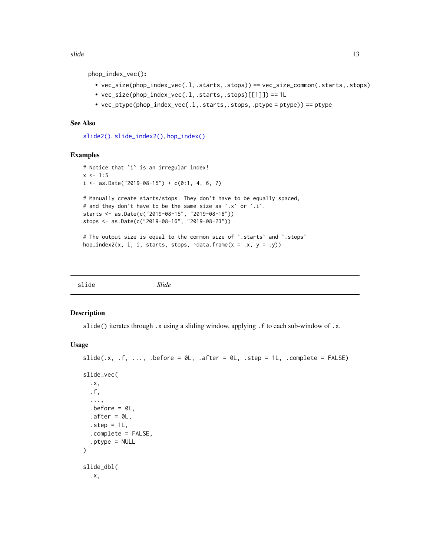<span id="page-12-0"></span>slide to the state of the state of the state of the state of the state of the state of the state of the state of the state of the state of the state of the state of the state of the state of the state of the state of the s

phop\_index\_vec():

- vec\_size(phop\_index\_vec(.l,.starts,.stops)) == vec\_size\_common(.starts,.stops)
- vec\_size(phop\_index\_vec(.l,.starts,.stops)[[1]]) == 1L
- $vec_p$  ptype(phop\_index\_vec(.1,.starts,.stops,.ptype = ptype)) == ptype

## See Also

[slide2\(\)](#page-17-1), [slide\\_index2\(\)](#page-29-1), [hop\\_index\(\)](#page-7-1)

#### Examples

```
# Notice that `i` is an irregular index!
x \le -1:5i \le - as.Date("2019-08-15") + c(0:1, 4, 6, 7)# Manually create starts/stops. They don't have to be equally spaced,
# and they don't have to be the same size as `.x` or `.i`.
starts <- as.Date(c("2019-08-15", "2019-08-18"))
stops <- as.Date(c("2019-08-16", "2019-08-23"))
# The output size is equal to the common size of `.starts` and `.stops`
```

```
hop_index2(x, i, i, starts, stops, \simdata.frame(x = .x, y = .y))
```
<span id="page-12-1"></span>

| slide | Slide |  |  |
|-------|-------|--|--|
|-------|-------|--|--|

#### <span id="page-12-2"></span>Description

slide() iterates through .x using a sliding window, applying .f to each sub-window of .x.

#### Usage

```
slide(.x, \cdot f, \ldots, \cdot before = 0L, \cdot after = 0L, \cdot step = 1L, \cdot complete = FALSE)
slide_vec(
  .x,
  .f,
  ...,
  before = 0L,
  after = <math>0L</math>,step = 1L,
  .complete = FALSE,
  .ptype = NULL
)
slide_dbl(
  .x,
```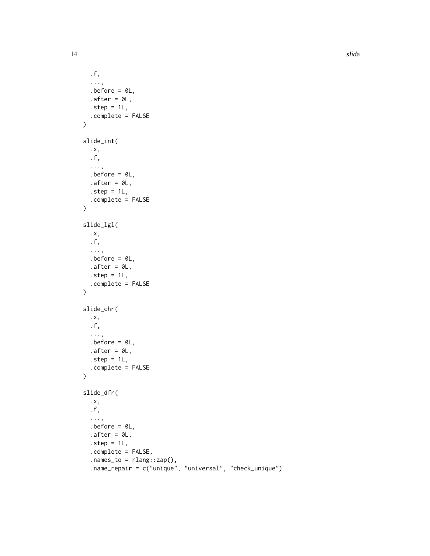```
.f,
  ...,
  before = 0L,
  after = <math>ØL</math>,\square.step = 1L,
  .complete = FALSE
\mathcal{L}slide_int(
  .x,
  .f,
  ...,
  .before = 0L,
  .after = \theta L,
  .step = 1L,
  .complete = FALSE
\mathcal{L}slide_lgl(
  .x,
  .f,
  ...,
  .before = \mathfrak{d}L,
  after = <math>ØL</math>,step = 1L,.complete = FALSE
\mathcal{L}slide_chr(
  .x,
  .f,
  ...,
  before = 0L,
  .after = \theta L,
  .step = 1L,
  .complete = FALSE
\lambdaslide_dfr(
  .x,
  .f,
  ...,
  before = 0L,
  after = <math>0L</math>,step = 1L,.complete = FALSE,
  nanes_to = rlang::cap(),.name_repair = c("unique", "universal", "check_unique")
```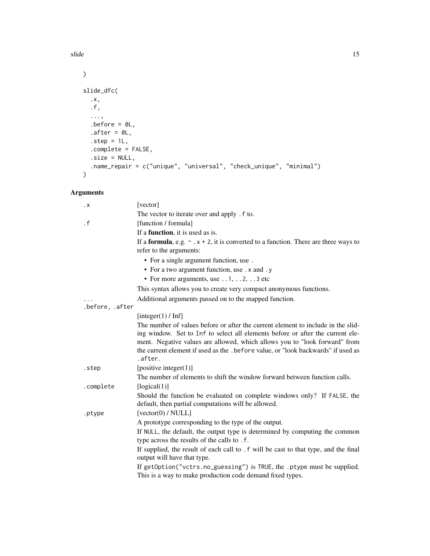slide to the state of the state of the state of the state of the state of the state of the state of the state of the state of the state of the state of the state of the state of the state of the state of the state of the s

```
\lambdaslide_dfc(
  .x,
  .f,
  ...,
  .before = 0L,
  after = <math>ØL</math>,.step = 1L,
  .complete = FALSE,
  .size = NULL,
  .name_repair = c("unique", "universal", "check_unique", "minimal")
\mathcal{L}
```
## Arguments

| $\cdot$ X       | [vector]                                                                                         |
|-----------------|--------------------------------------------------------------------------------------------------|
|                 | The vector to iterate over and apply . f to.                                                     |
| $\cdot$ f       | [function / formula]                                                                             |
|                 | If a <b>function</b> , it is used as is.                                                         |
|                 | If a <b>formula</b> , e.g. $\sim x + 2$ , it is converted to a function. There are three ways to |
|                 | refer to the arguments:                                                                          |
|                 | • For a single argument function, use.                                                           |
|                 | • For a two argument function, use . x and . y                                                   |
|                 | • For more arguments, use $\dots$ 1, $\dots$ 2, $\dots$ 3 etc                                    |
|                 | This syntax allows you to create very compact anonymous functions.                               |
|                 | Additional arguments passed on to the mapped function.                                           |
| .before, .after |                                                                                                  |
|                 | [integer(1) / Inf]                                                                               |
|                 | The number of values before or after the current element to include in the slid-                 |
|                 | ing window. Set to Inf to select all elements before or after the current ele-                   |
|                 | ment. Negative values are allowed, which allows you to "look forward" from                       |
|                 | the current element if used as the . before value, or "look backwards" if used as<br>.after.     |
|                 |                                                                                                  |
| .step           | [positive integer $(1)$ ]                                                                        |
|                 | The number of elements to shift the window forward between function calls.                       |
| .complete       | [logical(1)]                                                                                     |
|                 | Should the function be evaluated on complete windows only? If FALSE, the                         |
|                 | default, then partial computations will be allowed.<br>[vector(0) / NULL]                        |
| .ptype          | A prototype corresponding to the type of the output.                                             |
|                 | If NULL, the default, the output type is determined by computing the common                      |
|                 | type across the results of the calls to .f.                                                      |
|                 | If supplied, the result of each call to . f will be cast to that type, and the final             |
|                 | output will have that type.                                                                      |
|                 | If getOption("vctrs.no_guessing") is TRUE, the .ptype must be supplied.                          |
|                 | This is a way to make production code demand fixed types.                                        |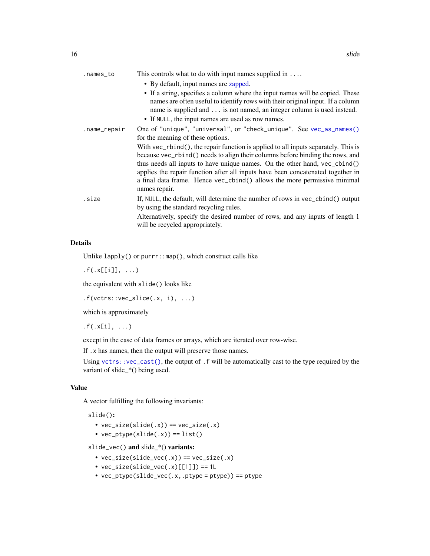<span id="page-15-0"></span>

| .names_to    | This controls what to do with input names supplied in $\dots$                                                                                                                                                                                                                                                                                                                                                                     |
|--------------|-----------------------------------------------------------------------------------------------------------------------------------------------------------------------------------------------------------------------------------------------------------------------------------------------------------------------------------------------------------------------------------------------------------------------------------|
|              | • By default, input names are zapped.                                                                                                                                                                                                                                                                                                                                                                                             |
|              | • If a string, specifies a column where the input names will be copied. These<br>names are often useful to identify rows with their original input. If a column<br>name is supplied and is not named, an integer column is used instead.<br>• If NULL, the input names are used as row names.                                                                                                                                     |
| .name_repair | One of "unique", "universal", or "check_unique". See vec_as_names()<br>for the meaning of these options.                                                                                                                                                                                                                                                                                                                          |
|              | With vec_rbind(), the repair function is applied to all inputs separately. This is<br>because vec_rbind() needs to align their columns before binding the rows, and<br>thus needs all inputs to have unique names. On the other hand, vec_cbind()<br>applies the repair function after all inputs have been concatenated together in<br>a final data frame. Hence vec_cbind() allows the more permissive minimal<br>names repair. |
| .size        | If, NULL, the default, will determine the number of rows in vec_cbind() output<br>by using the standard recycling rules.<br>Alternatively, specify the desired number of rows, and any inputs of length 1<br>will be recycled appropriately.                                                                                                                                                                                      |

## Details

Unlike lapply() or purrr::map(), which construct calls like

 $.f(.x[[i]], ...)$ 

the equivalent with slide() looks like

 $.f(vctrs::vec\_slice(.x, i), ...)$ 

which is approximately

 $.f(.x[i], ...)$ 

except in the case of data frames or arrays, which are iterated over row-wise.

If .x has names, then the output will preserve those names.

Using [vctrs::vec\\_cast\(\)](#page-0-0), the output of .f will be automatically cast to the type required by the variant of slide\_\*() being used.

### Value

A vector fulfilling the following invariants:

slide():

- $vec_size(s) == vec_size(x)$
- $vec_ptype(slide(.x)) == list()$

slide\_vec() and slide\_\*() variants:

- $vec\_size(s)$  ==  $vec\_size(x)$
- $vec\_size(slice\_vec(.x)[[1]]) == 1L$
- vec\_ptype(slide\_vec(.x,.ptype = ptype)) == ptype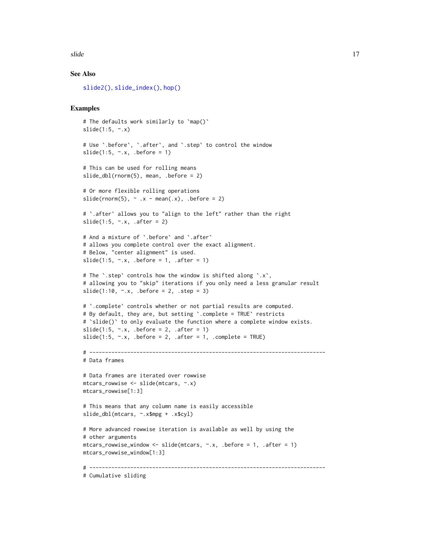```
slide the state of the state of the state of the state of the state of the state of the state of the state of the state of the state of the state of the state of the state of the state of the state of the state of the stat
```
## See Also

[slide2\(\)](#page-17-1), [slide\\_index\(\)](#page-24-1), [hop\(\)](#page-3-1)

## Examples

```
# The defaults work similarly to `map()`
slide(1:5, \sim x)# Use `.before`, `.after`, and `.step` to control the window
slide(1:5, \sim.x, .before = 1)
# This can be used for rolling means
slide_dbl(rnorm(5), mean, .before = 2)
# Or more flexible rolling operations
slide(rnorm(5), \sim .x - mean(.x), .before = 2)
# `.after` allows you to "align to the left" rather than the right
slide(1:5, \sim.x, .after = 2)
# And a mixture of `.before` and `.after`
# allows you complete control over the exact alignment.
# Below, "center alignment" is used.
slide(1:5, \sim.x, .before = 1, .after = 1)
# The `.step` controls how the window is shifted along `.x`,
# allowing you to "skip" iterations if you only need a less granular result
slide(1:10, \sim x, .before = 2, .step = 3)
# `.complete` controls whether or not partial results are computed.
# By default, they are, but setting `.complete = TRUE` restricts
# `slide()` to only evaluate the function where a complete window exists.
slide(1:5, \sim.x, .before = 2, .after = 1)
slide(1:5, \sim.x, .before = 2, .after = 1, .complete = TRUE)
# ---------------------------------------------------------------------------
# Data frames
# Data frames are iterated over rowwise
mtcars_rowwise <- slide(mtcars, ~.x)
mtcars_rowwise[1:3]
# This means that any column name is easily accessible
slide_dbl(mtcars, ~.x$mpg + .x$cyl)
# More advanced rowwise iteration is available as well by using the
# other arguments
mtcars_rowwise_window <- slide(mtcars, \sim.x, .before = 1, .after = 1)
mtcars_rowwise_window[1:3]
# ---------------------------------------------------------------------------
# Cumulative sliding
```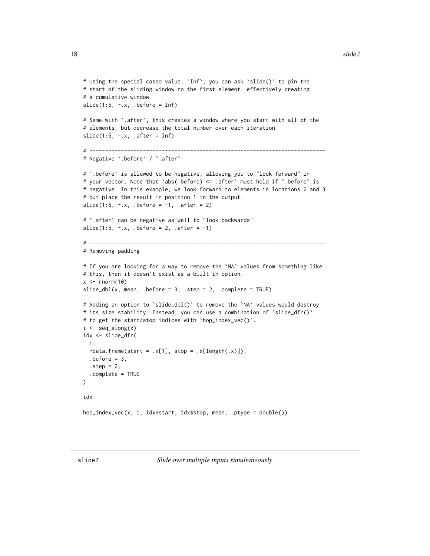```
# Using the special cased value, `Inf`, you can ask `slide()` to pin the
# start of the sliding window to the first element, effectively creating
# a cumulative window
slide(1:5, \sim.x, .before = Inf)
# Same with `.after`, this creates a window where you start with all of the
# elements, but decrease the total number over each iteration
slide(1:5, \sim.x, .after = Inf)
# ---------------------------------------------------------------------------
# Negative `.before` / `.after`
# `.before` is allowed to be negative, allowing you to "look forward" in
# your vector. Note that `abs(.before) <= .after` must hold if `.before` is
# negative. In this example, we look forward to elements in locations 2 and 3
# but place the result in position 1 in the output.
slide(1:5, \sim.x, .before = -1, .after = 2)
# `.after` can be negative as well to "look backwards"
slide(1:5, \sim.x, .before = 2, .after = -1)
# ---------------------------------------------------------------------------
# Removing padding
# If you are looking for a way to remove the `NA` values from something like
# this, then it doesn't exist as a built in option.
x \le - rnorm(10)
slide_dbl(x, mean, .before = 3, .step = 2, .complete = TRUE)# Adding an option to `slide_dbl()` to remove the `NA` values would destroy
# its size stability. Instead, you can use a combination of `slide_dfr()`
# to get the start/stop indices with `hop_index_vec()`.
i \leftarrow \text{seq\_along}(x)idx <- slide_dfr(
 i,
 \text{ }data.frame(start = .x[1], stop = .x[length(.x)]),
 before = 3,
  step = 2,
  .complete = TRUE
\mathcal{E}idx
hop_index_vec(x, i, idx$start, idx$stop, mean, .ptype = double())
```
<span id="page-17-0"></span>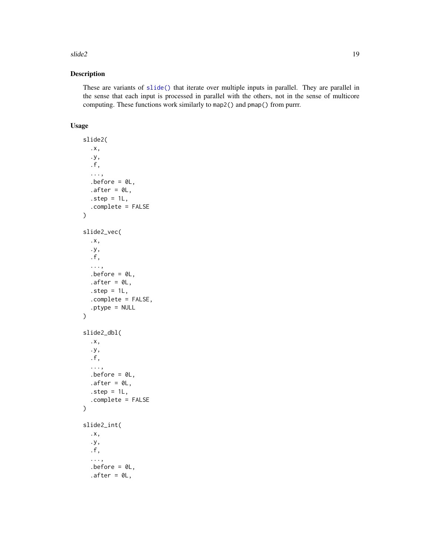#### <span id="page-18-0"></span> $\text{slide2}$  19

## Description

These are variants of [slide\(\)](#page-12-1) that iterate over multiple inputs in parallel. They are parallel in the sense that each input is processed in parallel with the others, not in the sense of multicore computing. These functions work similarly to map2() and pmap() from purrr.

## Usage

```
slide2(
  .x,
  .y,
  .f,
  ...,
  .before = OL,
  after = <math>ØL</math>,step = 1L,
  .complete = FALSE
)
slide2_vec(
  .x,
  .y,
  .f,
  ...,
  .before = OL,
  after = <math>0L</math>,step = 1L,
  .complete = FALSE,
  .ptype = NULL
\mathcal{L}slide2_dbl(
  .x,
  .y,
  .f,
  ...,
  before = 0L,
  after = <math>ØL</math>,step = 1L,
  .complete = FALSE
)
slide2_int(
  .x,
  .y,
  .f,
  ...,
  .before = OL,
  after = <math>ØL</math>,
```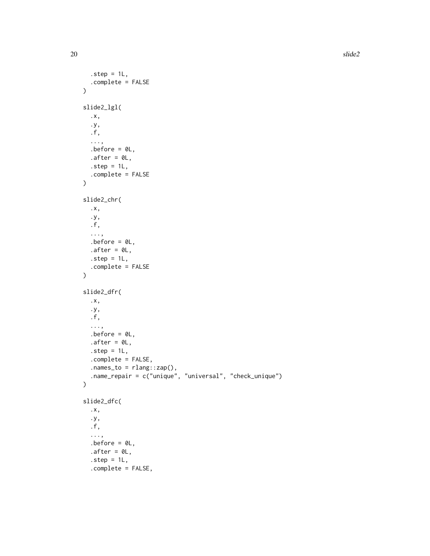20 slide  $20$ 

```
step = 1L,
  .complete = FALSE
\lambdaslide2_lgl(
  .x,
  .y,
  .f,
  ...,
  before = 0L,
  .after = 0L,
  .step = 1L,
  .complete = FALSE
\mathcal{L}slide2_chr(
  .x,
  .y,
  .f,
  ...,
  before = 0L,
  .after = \theta L,
  .step = 1L,
  .complete = FALSE
\mathcal{L}slide2_dfr(
  .x,
  .y,
  .f,
  ...,
  .before = 0L,
  .after = \theta L,
  \square.step = 1L,
  .complete = FALSE,
  nanes_to = rlang::cap(),.name_repair = c("unique", "universal", "check_unique")
\mathcal{L}slide2_dfc(
  .x,
  .y,
  .f,
  ...,
  before = 0L,
  after = <math>ØL</math>,step = 1L,.complete = FALSE,
```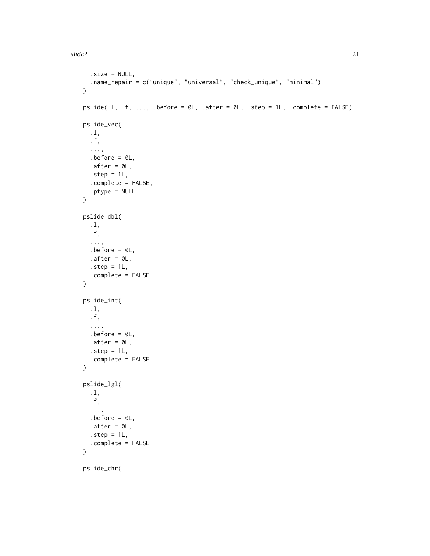```
.size = NULL,
  .name_repair = c("unique", "universal", "check_unique", "minimal")
\lambdapslide(.1, .f, . . . , .before = 0L, .after = 0L, .step = 1L, .complete = FALSE)pslide_vec(
  .l,
  .f,
  ...,
  .before = \mathfrak{D}L,
  after = <math>ØL</math>,step = 1L,.complete = FALSE,
  .ptype = NULL
\mathcal{L}pslide_dbl(
  .l,
  .f,
  ...,
  before = 0L,
  after = <math>ØL</math>,.step = 1L,
  .complete = FALSE
\mathcal{L}pslide_int(
  .l,
  .f,
  ...,
  .before = 0L,
  .after = \theta L,
  step = 1L,.complete = FALSE
\mathcal{L}pslide_lgl(
  .l,
  .f,
  ...,
  before = 0L,
  .after = 0L,
  step = 1L,.complete = FALSE
\mathcal{L}
```
pslide\_chr(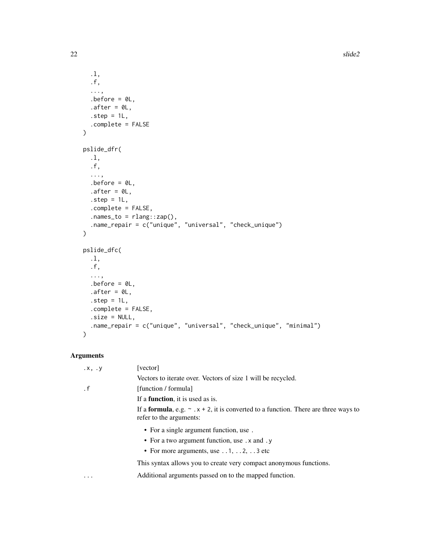```
.l,
  .f,
  ...,
  before = 0L,.after = OL,
  step = 1L,.complete = FALSE
\lambdapslide_dfr(
  .l,
  .f,
  ...,
  before = 0L,
  .after = \theta L,
  .step = 1L,
  .complete = FALSE,
  nanes_to = rlang::cap(),.name_repair = c("unique", "universal", "check_unique")
\mathcal{L}pslide_dfc(
  .l,
  .f,
  ...,
  before = 0L,
  after = <math>ØL</math>,\square.step = 1L,
  .complete = FALSE,
  .size = NULL,
  .name_repair = c("unique", "universal", "check_unique", "minimal")
\mathcal{L}
```
## Arguments

| $\cdot$ x, $\cdot$ y | [vector]                                                                                                                    |
|----------------------|-----------------------------------------------------------------------------------------------------------------------------|
|                      | Vectors to iterate over. Vectors of size 1 will be recycled.                                                                |
| $\cdot$ f            | [function / formula]                                                                                                        |
|                      | If a <b>function</b> , it is used as is.                                                                                    |
|                      | If a <b>formula</b> , e.g. $\sim x + 2$ , it is converted to a function. There are three ways to<br>refer to the arguments: |
|                      | • For a single argument function, use.                                                                                      |
|                      | • For a two argument function, use . x and . y                                                                              |
|                      | • For more arguments, use $\dots$ 1, $\dots$ 2, $\dots$ 3 etc                                                               |
|                      | This syntax allows you to create very compact anonymous functions.                                                          |
| $\ddotsc$            | Additional arguments passed on to the mapped function.                                                                      |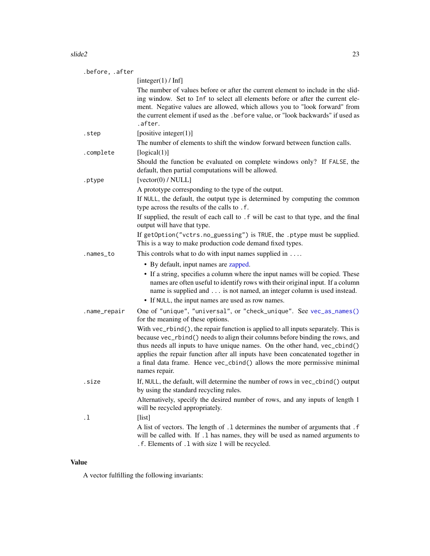#### <span id="page-22-0"></span> $\text{slide2}$  23

| .before, .after |                                                                                                                                                                                                                                                                                                                                                                                                                                   |
|-----------------|-----------------------------------------------------------------------------------------------------------------------------------------------------------------------------------------------------------------------------------------------------------------------------------------------------------------------------------------------------------------------------------------------------------------------------------|
|                 | [integer(1) / Inf]                                                                                                                                                                                                                                                                                                                                                                                                                |
|                 | The number of values before or after the current element to include in the slid-<br>ing window. Set to Inf to select all elements before or after the current ele-<br>ment. Negative values are allowed, which allows you to "look forward" from<br>the current element if used as the .before value, or "look backwards" if used as<br>.after.                                                                                   |
| .step           | [positive integer $(1)$ ]                                                                                                                                                                                                                                                                                                                                                                                                         |
|                 | The number of elements to shift the window forward between function calls.                                                                                                                                                                                                                                                                                                                                                        |
| .complete       | [logical(1)]                                                                                                                                                                                                                                                                                                                                                                                                                      |
|                 | Should the function be evaluated on complete windows only? If FALSE, the<br>default, then partial computations will be allowed.                                                                                                                                                                                                                                                                                                   |
| .ptype          | [vector(0) / NULL]                                                                                                                                                                                                                                                                                                                                                                                                                |
|                 | A prototype corresponding to the type of the output.                                                                                                                                                                                                                                                                                                                                                                              |
|                 | If NULL, the default, the output type is determined by computing the common<br>type across the results of the calls to .f.                                                                                                                                                                                                                                                                                                        |
|                 | If supplied, the result of each call to . f will be cast to that type, and the final<br>output will have that type.                                                                                                                                                                                                                                                                                                               |
|                 | If getOption("vctrs.no_guessing") is TRUE, the .ptype must be supplied.<br>This is a way to make production code demand fixed types.                                                                                                                                                                                                                                                                                              |
| .names_to       | This controls what to do with input names supplied in $\dots$                                                                                                                                                                                                                                                                                                                                                                     |
|                 | • By default, input names are zapped.                                                                                                                                                                                                                                                                                                                                                                                             |
|                 | • If a string, specifies a column where the input names will be copied. These<br>names are often useful to identify rows with their original input. If a column<br>name is supplied and is not named, an integer column is used instead.<br>• If NULL, the input names are used as row names.                                                                                                                                     |
|                 |                                                                                                                                                                                                                                                                                                                                                                                                                                   |
| .name_repair    | One of "unique", "universal", or "check_unique". See vec_as_names()<br>for the meaning of these options.                                                                                                                                                                                                                                                                                                                          |
|                 | With vec_rbind(), the repair function is applied to all inputs separately. This is<br>because vec_rbind() needs to align their columns before binding the rows, and<br>thus needs all inputs to have unique names. On the other hand, vec_cbind()<br>applies the repair function after all inputs have been concatenated together in<br>a final data frame. Hence vec_cbind() allows the more permissive minimal<br>names repair. |
| .size           | If, NULL, the default, will determine the number of rows in vec_cbind() output                                                                                                                                                                                                                                                                                                                                                    |
|                 | by using the standard recycling rules.<br>Alternatively, specify the desired number of rows, and any inputs of length 1<br>will be recycled appropriately.                                                                                                                                                                                                                                                                        |
| $\cdot$ 1       | [list]                                                                                                                                                                                                                                                                                                                                                                                                                            |
|                 | A list of vectors. The length of .1 determines the number of arguments that .f<br>will be called with. If .1 has names, they will be used as named arguments to<br>.f. Elements of .1 with size 1 will be recycled.                                                                                                                                                                                                               |

## Value

A vector fulfilling the following invariants: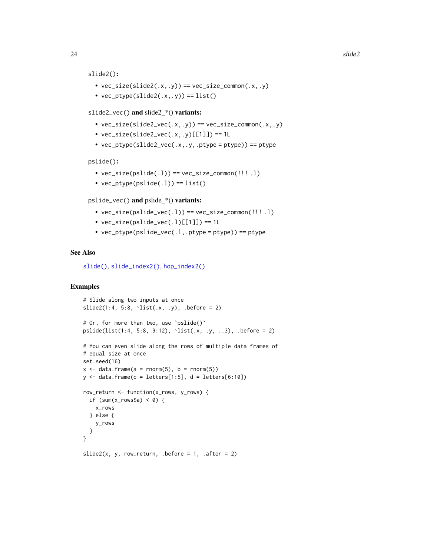```
slide2():
```
- $vec\_size(slide2(x, y)) == vec\_size\_common(x, y)$
- $vec_ptype(slide2(x, y)) == list()$
- slide2\_vec() and slide2\_\*() variants:
	- $vec_size(slide2\_vec(.x,.y)) == vec_size\_common(.x,.y)$
	- $vec\_size(slice\_vec(.x,.y)[[1]]$  == 1L
	- vec\_ptype(slide2\_vec(.x,.y,.ptype = ptype)) == ptype

pslide():

- $vec_size(pslide(.1)) == vec_size_{common}(!!'.1)$
- $vec_ptype(pslide(.1)) == list()$

pslide\_vec() and pslide\_\*() variants:

- $vec\_size(pslide\_vec(.1)) == vec\_size\_common(!!!.1)$
- $vec\_size(pslide\_vec(.1)[[1]]) == 1L$
- $vec_p$ ptype(pslide\_vec(.l,.ptype = ptype)) == ptype

#### See Also

[slide\(\)](#page-12-1), [slide\\_index2\(\)](#page-29-1), [hop\\_index2\(\)](#page-10-1)

#### Examples

```
# Slide along two inputs at once
slide2(1:4, 5:8, \simlist(.x, .y), .before = 2)
# Or, for more than two, use `pslide()`
pslide(list(1:4, 5:8, 9:12), ~list(.x, .y, ..3), .before = 2)
# You can even slide along the rows of multiple data frames of
# equal size at once
set.seed(16)
x \le - data.frame(a = rnorm(5), b = rnorm(5))
y \le - data.frame(c = letters[1:5], d = letters[6:10])
row_return <- function(x_rows, y_rows) {
 if (sum(x_rows$a) < 0) {
   x_rows
 } else {
   y_rows
  }
}
```
slide2(x, y, row\_return, .before =  $1$ , .after =  $2$ )

<span id="page-23-0"></span>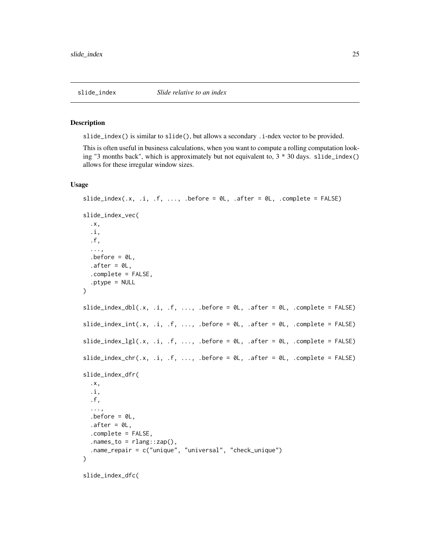#### <span id="page-24-2"></span><span id="page-24-1"></span><span id="page-24-0"></span>Description

slide\_index() is similar to slide(), but allows a secondary .i-ndex vector to be provided.

This is often useful in business calculations, when you want to compute a rolling computation looking "3 months back", which is approximately but not equivalent to,  $3 * 30$  days. slide\_index() allows for these irregular window sizes.

## Usage

```
slide_index(.x, .i, .f, ..., .before = 0L, .after = 0L, .complete = FALSE)
slide_index_vec(
  .x,
  .i,
  .f,
  ...,
  before = 0L,after = <math>0L</math>,.complete = FALSE,
  .ptype = NULL
\mathcal{L}slide\_index\_dbl(x, 1, .f, ..., before = 0, .after = 0, .complete = FALSE)slide_index_int(.x, .i, .f, ..., .before = \emptyset L, .after = \emptyset L, .complete = FALSE)
slide\_index\_lgl(.x, .i, .f, . . ., .before = 0L, .after = 0L, .complete = FALSE)slide\_index\_chr(.x, .i, .f, . . ., .before = 0L, .after = 0L, .complete = FALSE)slide_index_dfr(
  .x,
  .i,
  .f,
  ...,
  before = 0L,
  after = <math>ØL</math>,.complete = FALSE,
  nanes_to = rlang::cap(),.name_repair = c("unique", "universal", "check_unique")
\lambdaslide_index_dfc(
```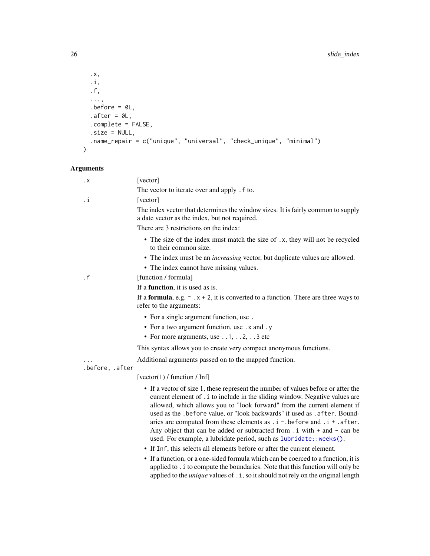```
.x,
  .i,
 .f,
  ...,
 .before = 0L,
 .after = \theta L,
 .complete = FALSE,
 .size = NULL,
 .name_repair = c("unique", "universal", "check_unique", "minimal")
\sum
```
## Arguments

| . X             | [vector]                                                                                                                                                                                                                                                                                                                                                                                                                                                                                                                                                                                                                                                                                                                                                                                                                                                                                                   |
|-----------------|------------------------------------------------------------------------------------------------------------------------------------------------------------------------------------------------------------------------------------------------------------------------------------------------------------------------------------------------------------------------------------------------------------------------------------------------------------------------------------------------------------------------------------------------------------------------------------------------------------------------------------------------------------------------------------------------------------------------------------------------------------------------------------------------------------------------------------------------------------------------------------------------------------|
|                 | The vector to iterate over and apply . f to.                                                                                                                                                                                                                                                                                                                                                                                                                                                                                                                                                                                                                                                                                                                                                                                                                                                               |
| .i              | [vector]                                                                                                                                                                                                                                                                                                                                                                                                                                                                                                                                                                                                                                                                                                                                                                                                                                                                                                   |
|                 | The index vector that determines the window sizes. It is fairly common to supply<br>a date vector as the index, but not required.                                                                                                                                                                                                                                                                                                                                                                                                                                                                                                                                                                                                                                                                                                                                                                          |
|                 | There are 3 restrictions on the index:                                                                                                                                                                                                                                                                                                                                                                                                                                                                                                                                                                                                                                                                                                                                                                                                                                                                     |
|                 | • The size of the index must match the size of .x, they will not be recycled<br>to their common size.                                                                                                                                                                                                                                                                                                                                                                                                                                                                                                                                                                                                                                                                                                                                                                                                      |
|                 | • The index must be an <i>increasing</i> vector, but duplicate values are allowed.                                                                                                                                                                                                                                                                                                                                                                                                                                                                                                                                                                                                                                                                                                                                                                                                                         |
|                 | • The index cannot have missing values.                                                                                                                                                                                                                                                                                                                                                                                                                                                                                                                                                                                                                                                                                                                                                                                                                                                                    |
| $\cdot$ f       | [function / formula]                                                                                                                                                                                                                                                                                                                                                                                                                                                                                                                                                                                                                                                                                                                                                                                                                                                                                       |
|                 | If a <b>function</b> , it is used as is.                                                                                                                                                                                                                                                                                                                                                                                                                                                                                                                                                                                                                                                                                                                                                                                                                                                                   |
|                 | If a <b>formula</b> , e.g. $\sim x + 2$ , it is converted to a function. There are three ways to<br>refer to the arguments:                                                                                                                                                                                                                                                                                                                                                                                                                                                                                                                                                                                                                                                                                                                                                                                |
|                 | • For a single argument function, use.                                                                                                                                                                                                                                                                                                                                                                                                                                                                                                                                                                                                                                                                                                                                                                                                                                                                     |
|                 | • For a two argument function, use . x and . y                                                                                                                                                                                                                                                                                                                                                                                                                                                                                                                                                                                                                                                                                                                                                                                                                                                             |
|                 | • For more arguments, use $\dots$ 1, $\dots$ 2, $\dots$ 3 etc                                                                                                                                                                                                                                                                                                                                                                                                                                                                                                                                                                                                                                                                                                                                                                                                                                              |
|                 | This syntax allows you to create very compact anonymous functions.                                                                                                                                                                                                                                                                                                                                                                                                                                                                                                                                                                                                                                                                                                                                                                                                                                         |
|                 | Additional arguments passed on to the mapped function.                                                                                                                                                                                                                                                                                                                                                                                                                                                                                                                                                                                                                                                                                                                                                                                                                                                     |
| .before, .after |                                                                                                                                                                                                                                                                                                                                                                                                                                                                                                                                                                                                                                                                                                                                                                                                                                                                                                            |
|                 | [vector(1) / function / Inf]                                                                                                                                                                                                                                                                                                                                                                                                                                                                                                                                                                                                                                                                                                                                                                                                                                                                               |
|                 | • If a vector of size 1, these represent the number of values before or after the<br>current element of . i to include in the sliding window. Negative values are<br>allowed, which allows you to "look forward" from the current element if<br>used as the .before value, or "look backwards" if used as .after. Bound-<br>aries are computed from these elements as $.i - .$ before and $.i + .$ after.<br>Any object that can be added or subtracted from . i with + and - can be<br>used. For example, a lubridate period, such as lubridate:: weeks().<br>• If Inf, this selects all elements before or after the current element.<br>• If a function, or a one-sided formula which can be coerced to a function, it is<br>applied to . i to compute the boundaries. Note that this function will only be<br>applied to the <i>unique</i> values of . i, so it should not rely on the original length |
|                 |                                                                                                                                                                                                                                                                                                                                                                                                                                                                                                                                                                                                                                                                                                                                                                                                                                                                                                            |

<span id="page-25-0"></span>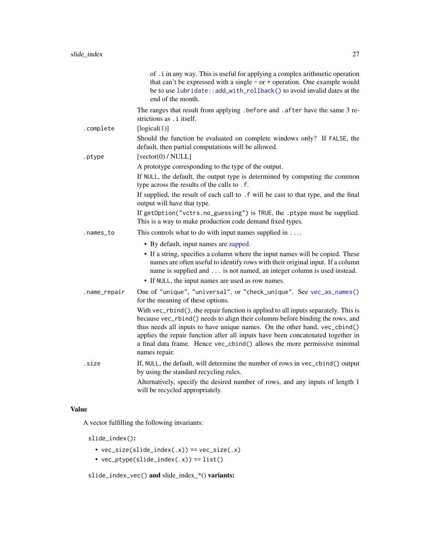<span id="page-26-0"></span>

|              | of . i in any way. This is useful for applying a complex arithmetic operation<br>that can't be expressed with a single - or + operation. One example would<br>be to use lubridate:: add_with_rollback() to avoid invalid dates at the<br>end of the month.                                                                                                                                                                        |
|--------------|-----------------------------------------------------------------------------------------------------------------------------------------------------------------------------------------------------------------------------------------------------------------------------------------------------------------------------------------------------------------------------------------------------------------------------------|
|              | The ranges that result from applying . before and . after have the same 3 re-<br>strictions as . i itself.                                                                                                                                                                                                                                                                                                                        |
| .complete    | [logical(1)]                                                                                                                                                                                                                                                                                                                                                                                                                      |
|              | Should the function be evaluated on complete windows only? If FALSE, the<br>default, then partial computations will be allowed.                                                                                                                                                                                                                                                                                                   |
| .ptype       | [vector(0) / NULL]                                                                                                                                                                                                                                                                                                                                                                                                                |
|              | A prototype corresponding to the type of the output.                                                                                                                                                                                                                                                                                                                                                                              |
|              | If NULL, the default, the output type is determined by computing the common<br>type across the results of the calls to . f.                                                                                                                                                                                                                                                                                                       |
|              | If supplied, the result of each call to . f will be cast to that type, and the final<br>output will have that type.                                                                                                                                                                                                                                                                                                               |
|              | If getOption("vctrs.no_guessing") is TRUE, the .ptype must be supplied.<br>This is a way to make production code demand fixed types.                                                                                                                                                                                                                                                                                              |
| .names_to    | This controls what to do with input names supplied in $\dots$                                                                                                                                                                                                                                                                                                                                                                     |
|              | • By default, input names are zapped.                                                                                                                                                                                                                                                                                                                                                                                             |
|              | • If a string, specifies a column where the input names will be copied. These<br>names are often useful to identify rows with their original input. If a column<br>name is supplied and is not named, an integer column is used instead.<br>• If NULL, the input names are used as row names.                                                                                                                                     |
| .name_repair | One of "unique", "universal", or "check_unique". See vec_as_names()                                                                                                                                                                                                                                                                                                                                                               |
|              | for the meaning of these options.                                                                                                                                                                                                                                                                                                                                                                                                 |
|              | With vec_rbind(), the repair function is applied to all inputs separately. This is<br>because vec_rbind() needs to align their columns before binding the rows, and<br>thus needs all inputs to have unique names. On the other hand, vec_cbind()<br>applies the repair function after all inputs have been concatenated together in<br>a final data frame. Hence vec_cbind() allows the more permissive minimal<br>names repair. |
| .size        | If, NULL, the default, will determine the number of rows in vec_cbind() output<br>by using the standard recycling rules.                                                                                                                                                                                                                                                                                                          |
|              | Alternatively, specify the desired number of rows, and any inputs of length 1<br>will be recycled appropriately.                                                                                                                                                                                                                                                                                                                  |

## Value

A vector fulfilling the following invariants:

slide\_index():

- $vec\_size(sline\_index(.x)) == vec\_size(.x)$
- vec\_ptype(slide\_index(.x)) == list()

slide\_index\_vec() and slide\_index\_\*() variants: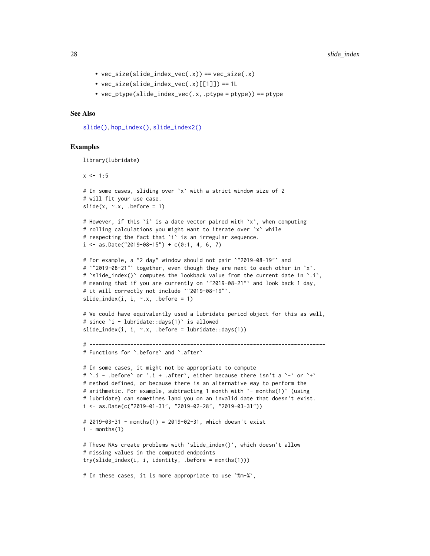- $vec\_size(s)$  =  $vec(.x))$  =  $vec\_size(.x)$
- $vec\_size(s)$  ide\_index\_vec(.x)[[1]]) == 1L
- vec\_ptype(slide\_index\_vec(.x,.ptype = ptype)) == ptype

#### See Also

[slide\(\)](#page-12-1), [hop\\_index\(\)](#page-7-1), [slide\\_index2\(\)](#page-29-1)

#### Examples

library(lubridate)

```
x \le -1:5# In some cases, sliding over `x` with a strict window size of 2
# will fit your use case.
slide(x, \sim.x, .before = 1)
# However, if this `i` is a date vector paired with `x`, when computing
# rolling calculations you might want to iterate over `x` while
# respecting the fact that `i` is an irregular sequence.
i \leq - as.Date("2019-08-15") + c(0:1, 4, 6, 7)# For example, a "2 day" window should not pair `"2019-08-19"` and
# `"2019-08-21"` together, even though they are next to each other in `x`.
# `slide_index()` computes the lookback value from the current date in `.i`,
# meaning that if you are currently on `"2019-08-21"` and look back 1 day,
# it will correctly not include `"2019-08-19"`.
slide_index(i, i, \sim.x, .before = 1)
# We could have equivalently used a lubridate period object for this as well,
# since `i - lubridate::days(1)` is allowed
slide_index(i, i, \sim.x, .before = lubridate::days(1))
# ---------------------------------------------------------------------------
# Functions for `.before` and `.after`
# In some cases, it might not be appropriate to compute
# `.i - .before` or `.i + .after`, either because there isn't a `-` or `+`
# method defined, or because there is an alternative way to perform the
# arithmetic. For example, subtracting 1 month with '- months(1)' (using
# lubridate) can sometimes land you on an invalid date that doesn't exist.
i <- as.Date(c("2019-01-31", "2019-02-28", "2019-03-31"))
# 2019-03-31 - months(1) = 2019-02-31, which doesn't exist
i - months(1)# These NAs create problems with `slide_index()`, which doesn't allow
# missing values in the computed endpoints
try(slide_index(i, i, identity, .before = months(1)))
# In these cases, it is more appropriate to use `%m-%`,
```
<span id="page-27-0"></span>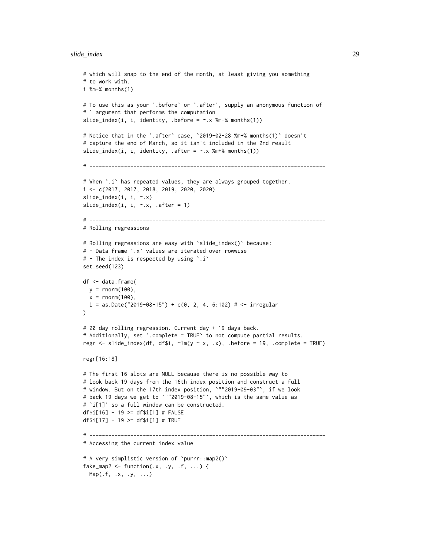#### slide\_index 29

```
# which will snap to the end of the month, at least giving you something
# to work with.
i %m-% months(1)
# To use this as your `.before` or `.after`, supply an anonymous function of
# 1 argument that performs the computation
slide_index(i, i, identity, .before = \sim.x %m-% months(1))
# Notice that in the `.after` case, `2019-02-28 %m+% months(1)` doesn't
# capture the end of March, so it isn't included in the 2nd result
slide_index(i, i, identity, .after = \sim.x %m+% months(1))
# ---------------------------------------------------------------------------
# When `.i` has repeated values, they are always grouped together.
i <- c(2017, 2017, 2018, 2019, 2020, 2020)
slide_index(i, i, ~.x)
slide_index(i, i, \neg x, \neg after = 1)
# ---------------------------------------------------------------------------
# Rolling regressions
# Rolling regressions are easy with `slide_index()` because:
# - Data frame `.x` values are iterated over rowwise
# - The index is respected by using `.i`
set.seed(123)
df <- data.frame(
 y = rnorm(100),
 x = rnorm(100),
  i = as.Date("2019-08-15") + c(0, 2, 4, 6:102) # <i>5</i> irregular\lambda# 20 day rolling regression. Current day + 19 days back.
# Additionally, set `.complete = TRUE` to not compute partial results.
regr \le slide_index(df, df$i, \simlm(y \sim x, .x), .before = 19, .complete = TRUE)
regr[16:18]
# The first 16 slots are NULL because there is no possible way to
# look back 19 days from the 16th index position and construct a full
# window. But on the 17th index position, `""2019-09-03"`, if we look
# back 19 days we get to `""2019-08-15"`, which is the same value as
# `i[1]` so a full window can be constructed.
df$i[16] - 19 >= df$i[1] # FALSE
df$i[17] - 19 >= df$i[1] # TRUE
# ---------------------------------------------------------------------------
# Accessing the current index value
# A very simplistic version of `purrr::map2()`
fake_map2 <- function(.x, .y, .f, ...) {
  Map(.f, .x, .y, . . .)
```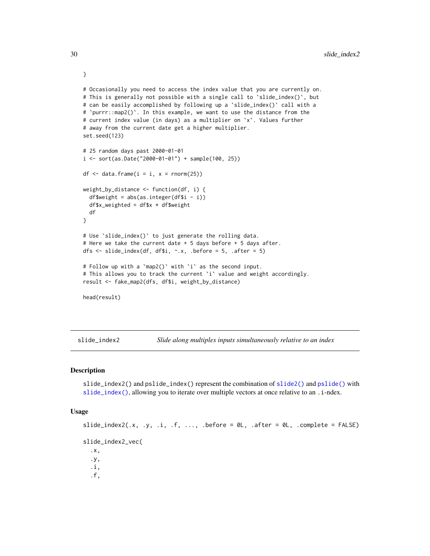```
# Occasionally you need to access the index value that you are currently on.
# This is generally not possible with a single call to `slide_index()`, but
# can be easily accomplished by following up a `slide_index()` call with a
# `purrr::map2()`. In this example, we want to use the distance from the
# current index value (in days) as a multiplier on `x`. Values further
# away from the current date get a higher multiplier.
set.seed(123)
# 25 random days past 2000-01-01
i \le sort(as.Date("2000-01-01") + sample(100, 25))
df \leq data.frame(i = i, x = \text{rnorm}(25))
weight_by_distance <- function(df, i) {
 df$weight = abs(as.integer(df$i - i))
 df$x_weighted = df$x * df$weight
 df
}
# Use `slide_index()` to just generate the rolling data.
# Here we take the current date + 5 days before + 5 days after.
dfs <- slide_index(df, df$i, ~.x, .before = 5, .after = 5)
# Follow up with a `map2()` with `i` as the second input.
# This allows you to track the current `i` value and weight accordingly.
result <- fake_map2(dfs, df$i, weight_by_distance)
head(result)
```
<span id="page-29-1"></span>slide\_index2 *Slide along multiples inputs simultaneously relative to an index*

#### **Description**

slide\_index2() and pslide\_index() represent the combination of [slide2\(\)](#page-17-1) and [pslide\(\)](#page-17-2) with [slide\\_index\(\)](#page-24-1), allowing you to iterate over multiple vectors at once relative to an . i-ndex.

#### Usage

```
slide_index2(.x, .y, .i, .f, ..., .before = \emptyset L, .after = \emptyset L, .complete = FALSE)
slide_index2_vec(
  .x,
  .y,
  .i,
  .f,
```
}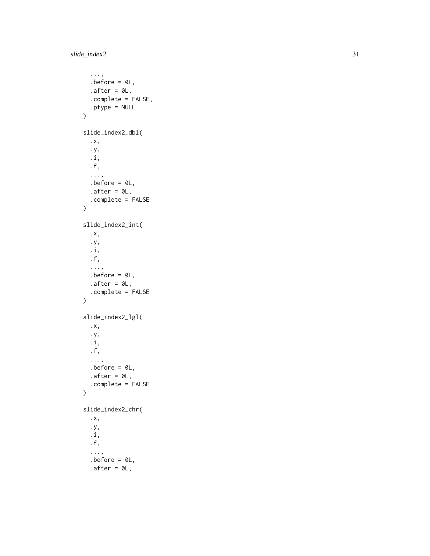```
...,
  before = 0L,after = <math>0L</math>,.complete = FALSE,
  .ptype = NULL
\mathcal{L}slide_index2_dbl(
  .x,
  .y,
  .i,
  .f,
  ...,
  .before = \theta L,
  .after = \theta L,
  .complete = FALSE
\mathcal{L}slide_index2_int(
  .x,
  .y,
  .i,
  .f,
  ...,
  before = 0L,.after = \theta L,
  .complete = FALSE
\mathcal{L}slide_index2_lgl(
  .x,
  .y,
  .i,
  .f,
  ...,
  before = 0L,after = <math>0L</math>,.complete = FALSE
\mathcal{L}slide_index2_chr(
  .x,
  .y,
  .i,
  .f,
  ...,
  .before = OL,
  .after = 0L,
```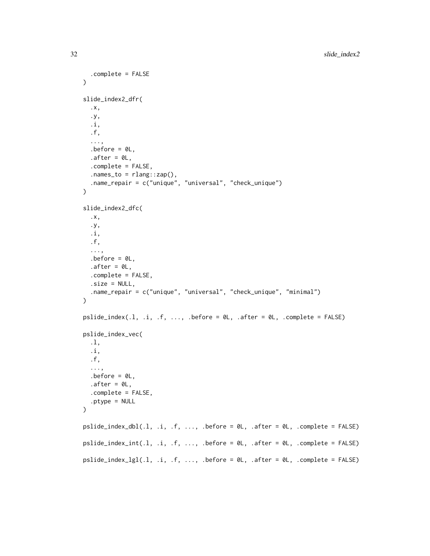```
.complete = FALSE
\lambdaslide_index2_dfr(
  .x,
  .y,
  .i,
  .f,
  ...,
  before = 0L,
  after = <math>ØL</math>,.complete = FALSE,
  nanes_to = rlang::cap(),.name_repair = c("unique", "universal", "check_unique")
\lambdaslide_index2_dfc(
  .x,
  .y,
  .i,
  .f,
  ...,
  .before = 0L,
  after = <math>0L</math>,.complete = FALSE,
  .size = NULL,
  .name_repair = c("unique", "universal", "check_unique", "minimal")
)
pslide\_index(.1, .i, .f, . . ., .before = 0L, .after = 0L, .complete = FALSE)pslide_index_vec(
  .l,
  .i,
  .f,
  ...,
  before = 0L.
  after = <math>ØL</math>,.complete = FALSE,
  .ptype = NULL
\mathcal{L}pslide\_index_dbl(.1, .i, .f, . . ., .before = 0L, .after = 0L, .complete = FALSE)pslide_index_info(.1, .i, .f, . . ., .before = 0L, .after = 0L, .complete = FALSE)pslide\_index\_lgl(.1, .i, .f, . . ., .before = 0L, .after = 0L, .complete = FALSE)
```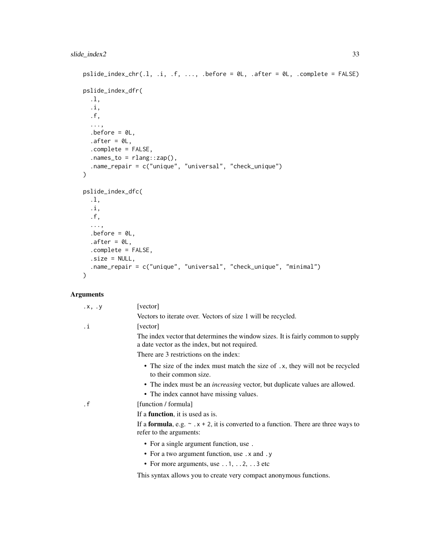```
pslide_index{\_}chr(.1, .i, .f, . . ., .before = 0L, .after = 0L, .complete = FALSE)pslide_index_dfr(
  .l,
  .i,
  .f,
  ...,
  before = 0L,
  after = <math>ØL</math>,.complete = FALSE,
  .names_to = rlang::zap(),
  .name_repair = c("unique", "universal", "check_unique")
)
pslide_index_dfc(
  .l,
  .i,
  .f,
  ...,
  before = 0L,
  after = <math>ØL</math>,.complete = FALSE,
  .size = NULL,
  .name_repair = c("unique", "universal", "check_unique", "minimal")
\mathcal{L}
```
## Arguments

| $\cdot$ X, $\cdot$ Y | [vector]                                                                                                                          |
|----------------------|-----------------------------------------------------------------------------------------------------------------------------------|
|                      | Vectors to iterate over. Vectors of size 1 will be recycled.                                                                      |
| .i                   | [vector]                                                                                                                          |
|                      | The index vector that determines the window sizes. It is fairly common to supply<br>a date vector as the index, but not required. |
|                      | There are 3 restrictions on the index:                                                                                            |
|                      | • The size of the index must match the size of .x, they will not be recycled<br>to their common size.                             |
|                      | • The index must be an <i>increasing</i> vector, but duplicate values are allowed.                                                |
|                      | • The index cannot have missing values.                                                                                           |
| $\cdot$ f            | [function / formula]                                                                                                              |
|                      | If a <b>function</b> , it is used as is.                                                                                          |
|                      | If a <b>formula</b> , e.g. $\sim x + 2$ , it is converted to a function. There are three ways to<br>refer to the arguments:       |
|                      | • For a single argument function, use.                                                                                            |
|                      | • For a two argument function, use . x and . y                                                                                    |
|                      | • For more arguments, use $\dots$ 1, $\dots$ 2, $\dots$ 3 etc                                                                     |

This syntax allows you to create very compact anonymous functions.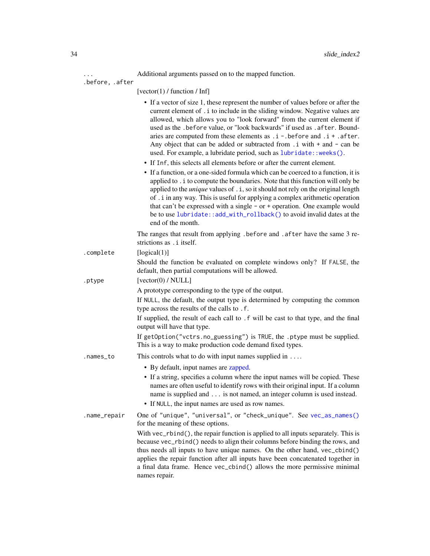... Additional arguments passed on to the mapped function.

<span id="page-33-0"></span>

|                 | Additional arguments passed on to the mapped function.                                                                                                                                                                                                                                                                                                                                                                                                                                                                                                                                                                                                                                                                                                                                                                                                                                                                                                                                                                                                                                                                                                                                  |
|-----------------|-----------------------------------------------------------------------------------------------------------------------------------------------------------------------------------------------------------------------------------------------------------------------------------------------------------------------------------------------------------------------------------------------------------------------------------------------------------------------------------------------------------------------------------------------------------------------------------------------------------------------------------------------------------------------------------------------------------------------------------------------------------------------------------------------------------------------------------------------------------------------------------------------------------------------------------------------------------------------------------------------------------------------------------------------------------------------------------------------------------------------------------------------------------------------------------------|
| .before, .after | $\lceil vector(1)/\sqrt{a}\rceil$ / function / Inf                                                                                                                                                                                                                                                                                                                                                                                                                                                                                                                                                                                                                                                                                                                                                                                                                                                                                                                                                                                                                                                                                                                                      |
|                 | • If a vector of size 1, these represent the number of values before or after the<br>current element of . i to include in the sliding window. Negative values are<br>allowed, which allows you to "look forward" from the current element if<br>used as the .before value, or "look backwards" if used as .after. Bound-<br>aries are computed from these elements as $.i - .$ before and $.i + .$ after.<br>Any object that can be added or subtracted from $\ldots$ i with $+$ and $-$ can be<br>used. For example, a lubridate period, such as lubridate:: weeks().<br>• If Inf, this selects all elements before or after the current element.<br>• If a function, or a one-sided formula which can be coerced to a function, it is<br>applied to . i to compute the boundaries. Note that this function will only be<br>applied to the <i>unique</i> values of . i, so it should not rely on the original length<br>of . i in any way. This is useful for applying a complex arithmetic operation<br>that can't be expressed with a single $-$ or $+$ operation. One example would<br>be to use lubridate:: add_with_rollback() to avoid invalid dates at the<br>end of the month. |
|                 | The ranges that result from applying . before and . after have the same 3 re-<br>strictions as . i itself.                                                                                                                                                                                                                                                                                                                                                                                                                                                                                                                                                                                                                                                                                                                                                                                                                                                                                                                                                                                                                                                                              |
| .complete       | [logical(1)]                                                                                                                                                                                                                                                                                                                                                                                                                                                                                                                                                                                                                                                                                                                                                                                                                                                                                                                                                                                                                                                                                                                                                                            |
| .ptype          | Should the function be evaluated on complete windows only? If FALSE, the<br>default, then partial computations will be allowed.<br>[vector(0) / NULL]                                                                                                                                                                                                                                                                                                                                                                                                                                                                                                                                                                                                                                                                                                                                                                                                                                                                                                                                                                                                                                   |
|                 | A prototype corresponding to the type of the output.                                                                                                                                                                                                                                                                                                                                                                                                                                                                                                                                                                                                                                                                                                                                                                                                                                                                                                                                                                                                                                                                                                                                    |
|                 | If NULL, the default, the output type is determined by computing the common<br>type across the results of the calls to .f.                                                                                                                                                                                                                                                                                                                                                                                                                                                                                                                                                                                                                                                                                                                                                                                                                                                                                                                                                                                                                                                              |
|                 | If supplied, the result of each call to . f will be cast to that type, and the final<br>output will have that type.                                                                                                                                                                                                                                                                                                                                                                                                                                                                                                                                                                                                                                                                                                                                                                                                                                                                                                                                                                                                                                                                     |
|                 | If getOption("vctrs.no_guessing") is TRUE, the .ptype must be supplied.<br>This is a way to make production code demand fixed types.                                                                                                                                                                                                                                                                                                                                                                                                                                                                                                                                                                                                                                                                                                                                                                                                                                                                                                                                                                                                                                                    |
| .names_to       | This controls what to do with input names supplied in $\dots$                                                                                                                                                                                                                                                                                                                                                                                                                                                                                                                                                                                                                                                                                                                                                                                                                                                                                                                                                                                                                                                                                                                           |
|                 | • By default, input names are zapped.                                                                                                                                                                                                                                                                                                                                                                                                                                                                                                                                                                                                                                                                                                                                                                                                                                                                                                                                                                                                                                                                                                                                                   |
|                 | • If a string, specifies a column where the input names will be copied. These<br>names are often useful to identify rows with their original input. If a column<br>name is supplied and is not named, an integer column is used instead.<br>• If NULL, the input names are used as row names.                                                                                                                                                                                                                                                                                                                                                                                                                                                                                                                                                                                                                                                                                                                                                                                                                                                                                           |
|                 |                                                                                                                                                                                                                                                                                                                                                                                                                                                                                                                                                                                                                                                                                                                                                                                                                                                                                                                                                                                                                                                                                                                                                                                         |
| .name_repair    | One of "unique", "universal", or "check_unique". See vec_as_names()<br>for the meaning of these options.                                                                                                                                                                                                                                                                                                                                                                                                                                                                                                                                                                                                                                                                                                                                                                                                                                                                                                                                                                                                                                                                                |
|                 | With vec_rbind(), the repair function is applied to all inputs separately. This is<br>because vec_rbind() needs to align their columns before binding the rows, and<br>thus needs all inputs to have unique names. On the other hand, vec_cbind()<br>applies the repair function after all inputs have been concatenated together in<br>a final data frame. Hence vec_cbind() allows the more permissive minimal<br>names repair.                                                                                                                                                                                                                                                                                                                                                                                                                                                                                                                                                                                                                                                                                                                                                       |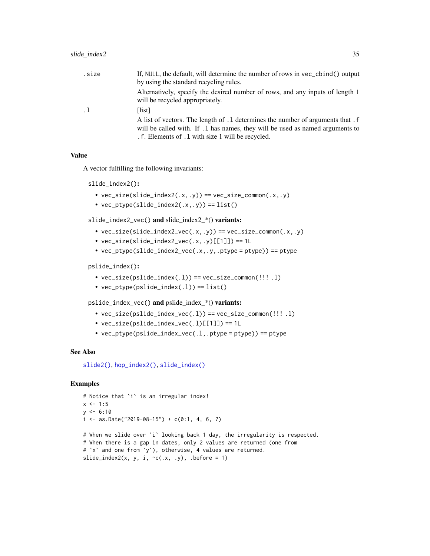<span id="page-34-0"></span>

| .size     | If, NULL, the default, will determine the number of rows in vec_cbind() output<br>by using the standard recycling rules.                                                                                                |
|-----------|-------------------------------------------------------------------------------------------------------------------------------------------------------------------------------------------------------------------------|
|           | Alternatively, specify the desired number of rows, and any inputs of length 1<br>will be recycled appropriately.                                                                                                        |
| $\cdot$ 1 | [list]                                                                                                                                                                                                                  |
|           | A list of vectors. The length of .1 determines the number of arguments that . f<br>will be called with. If . 1 has names, they will be used as named arguments to<br>. f. Elements of . 1 with size 1 will be recycled. |

## Value

A vector fulfilling the following invariants:

slide\_index2():

- $vec_size(slide_index2(.x,.y)) == vec_size_{common(.x,.y)}$
- $vec_ptype(slice_index2(.x,.y)) == list()$

slide\_index2\_vec() and slide\_index2\_\*() variants:

- $vec_size$ (slide\_index2\_vec(.x,.y)) ==  $vec_size$ \_common(.x,.y)
- $vec\_size(slice\_index2\_vec(.x,.y)[[1]]$  == 1L
- $vec_p$ type(slide\_index2\_vec(.x,.y,.ptype = ptype)) == ptype

pslide\_index():

- $vec\_size(pslide\_index(.1)) == vec\_size\_common(!!!.1)$
- $vec_ptype(pslide_index(.1)) == list()$

pslide\_index\_vec() and pslide\_index\_\*() variants:

- $vec_size(pslide_index\_vec(.1)) == vec_size_{common}(!!!.1)$
- vec\_size(pslide\_index\_vec(.l)[[1]]) == 1L
- $vec_p$ ptype(pslide\_index\_vec(.l,.ptype = ptype)) == ptype

#### See Also

[slide2\(\)](#page-17-1), [hop\\_index2\(\)](#page-10-1), [slide\\_index\(\)](#page-24-1)

#### Examples

```
# Notice that `i` is an irregular index!
x < -1:5y \le -6:10i \leq -as.Date("2019-08-15") + c(0:1, 4, 6, 7)
# When we slide over `i` looking back 1 day, the irregularity is respected.
```

```
# When there is a gap in dates, only 2 values are returned (one from
# `x` and one from `y`), otherwise, 4 values are returned.
slide_index2(x, y, i, \sim c(.x, .y), .before = 1)
```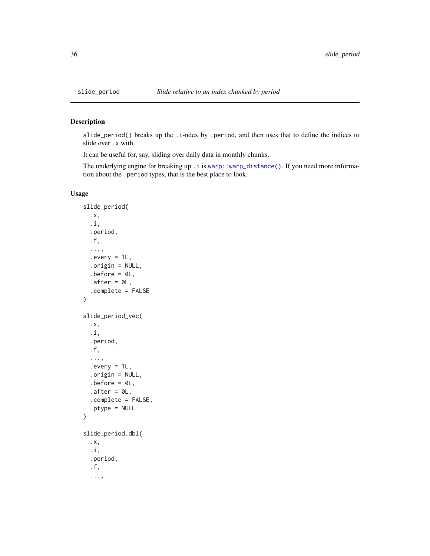#### Description

slide\_period() breaks up the .i-ndex by .period, and then uses that to define the indices to slide over .x with.

It can be useful for, say, sliding over daily data in monthly chunks.

The underlying engine for breaking up . i is [warp::warp\\_distance\(\)](#page-0-0). If you need more information about the .period types, that is the best place to look.

## Usage

```
slide_period(
  .x,
  .i,
  .period,
  .f,
  ...,
  severy = 1L,.origin = NULL,
  .before = OL,
  after = <math>ØL</math>,.complete = FALSE
\mathcal{L}slide_period_vec(
  .x,
  .i,
  .period,
  .f,
  ...,
  every = 1L,.origin = NULL,
  before = 0L,
  after = <math>ØL</math>,.complete = FALSE,
  .ptype = NULL
)
slide_period_dbl(
  .x,
  .i,
  .period,
  .f,
  ...,
```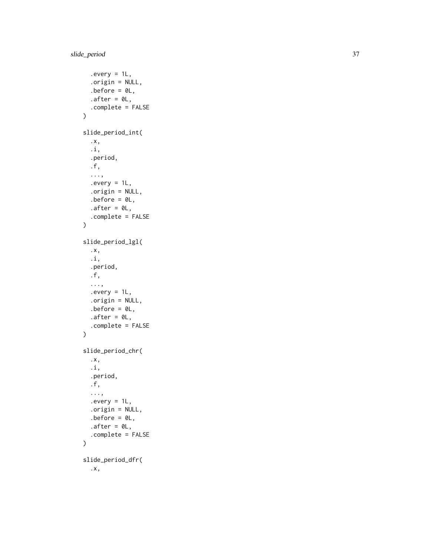```
every = 1L,.origin = NULL,
  before = 0L,
  after = <math>ØL</math>,.complete = FALSE
\mathcal{L}slide_period_int(
  .x,
  .i,
  .period,
  .f,
  ...,
  every = 1L,.origin = NULL,
  .before = \mathfrak{d}L,
  .after = \mathfrak{D}L,
  .complete = FALSE
\lambdaslide_period_lgl(
  .x,
  .i,
  .period,
  .f,
  ...,
  every = 1L,.origin = NULL,
  .before = \theta L,
  after = <math>ØL</math>,.complete = FALSE
\mathcal{L}slide_period_chr(
  .x,
  .i,
  .period,
  .f,
  ...,
  every = 1L,.origin = NULL,
  before = 0L,
  after = <math>ØL</math>,.complete = FALSE
)
slide_period_dfr(
  .x,
```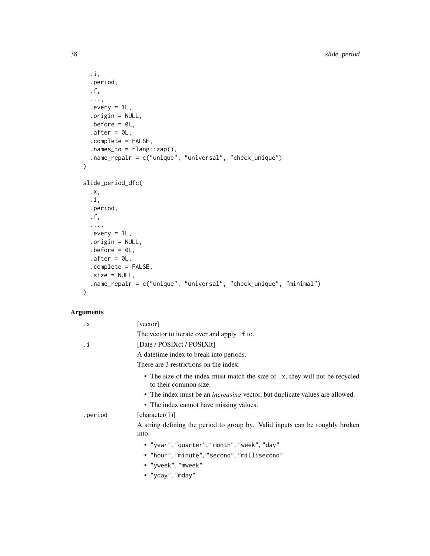```
.i,
  .period,
  .f,
  ...,
  .every = 1L,
  .origin = NULL,
  .before = OL,
  after = <math>ØL</math>,.complete = FALSE,
  .names_to = rlang::zap(),
  .name_repair = c("unique", "universal", "check_unique")
\mathcal{L}slide_period_dfc(
  .x,
  .i,
  .period,
  .f,
  ...,
  every = 1L,.origin = NULL,
  .before = \mathfrak{d}L,
  after = <math>ØL</math>,.complete = FALSE,
  .size = NULL,
  .name_repair = c("unique", "universal", "check_unique", "minimal")
\mathcal{L}
```
## Arguments

| $\cdot$ X | [vector]                                                                                              |
|-----------|-------------------------------------------------------------------------------------------------------|
|           | The vector to iterate over and apply . f to.                                                          |
| .i        | [Date / POSIXct / POSIXIt]                                                                            |
|           | A date time index to break into periods.                                                              |
|           | There are 3 restrictions on the index:                                                                |
|           | • The size of the index must match the size of .x, they will not be recycled<br>to their common size. |
|           | • The index must be an <i>increasing</i> vector, but duplicate values are allowed.                    |
|           | • The index cannot have missing values.                                                               |
| .period   | [character(1)]                                                                                        |
|           | A string defining the period to group by. Valid inputs can be roughly broken<br>into:                 |
|           | • "year", "quarter", "month", "week", "day"                                                           |
|           | • "hour", "minute", "second", "millisecond"                                                           |
|           | • "yweek", "mweek"                                                                                    |
|           | • "yday", "mday"                                                                                      |
|           |                                                                                                       |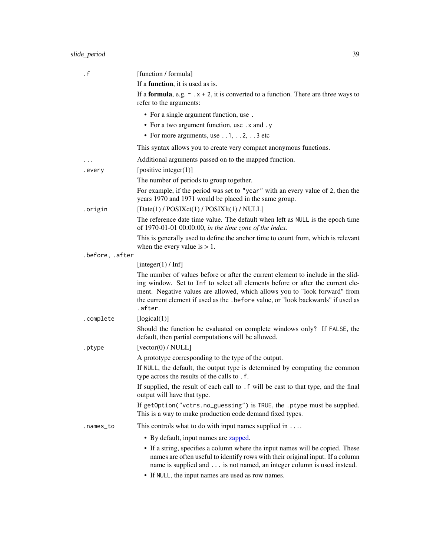## <span id="page-38-0"></span>slide\_period 39

| . f             | [function / formula]                                                                                                                                                                                                                                                                                                                            |
|-----------------|-------------------------------------------------------------------------------------------------------------------------------------------------------------------------------------------------------------------------------------------------------------------------------------------------------------------------------------------------|
|                 | If a <b>function</b> , it is used as is.                                                                                                                                                                                                                                                                                                        |
|                 | If a <b>formula</b> , e.g. $\sim x + 2$ , it is converted to a function. There are three ways to<br>refer to the arguments:                                                                                                                                                                                                                     |
|                 | • For a single argument function, use.                                                                                                                                                                                                                                                                                                          |
|                 | • For a two argument function, use . x and . y                                                                                                                                                                                                                                                                                                  |
|                 | • For more arguments, use $\dots$ 1, $\dots$ 2, $\dots$ 3 etc                                                                                                                                                                                                                                                                                   |
|                 | This syntax allows you to create very compact anonymous functions.                                                                                                                                                                                                                                                                              |
|                 | Additional arguments passed on to the mapped function.                                                                                                                                                                                                                                                                                          |
| .every          | [positive integer $(1)$ ]                                                                                                                                                                                                                                                                                                                       |
|                 | The number of periods to group together.                                                                                                                                                                                                                                                                                                        |
|                 | For example, if the period was set to "year" with an every value of 2, then the<br>years 1970 and 1971 would be placed in the same group.                                                                                                                                                                                                       |
| .origin         | [Date(1) / POSIXct(1) / POSIXlt(1) / NULL]                                                                                                                                                                                                                                                                                                      |
|                 | The reference date time value. The default when left as NULL is the epoch time<br>of 1970-01-01 00:00:00, in the time zone of the index.                                                                                                                                                                                                        |
|                 | This is generally used to define the anchor time to count from, which is relevant<br>when the every value is $> 1$ .                                                                                                                                                                                                                            |
| .before, .after |                                                                                                                                                                                                                                                                                                                                                 |
|                 | [integer(1) / Inf]                                                                                                                                                                                                                                                                                                                              |
|                 | The number of values before or after the current element to include in the slid-<br>ing window. Set to Inf to select all elements before or after the current ele-<br>ment. Negative values are allowed, which allows you to "look forward" from<br>the current element if used as the .before value, or "look backwards" if used as<br>.after. |
| .complete       | [logical(1)]                                                                                                                                                                                                                                                                                                                                    |
|                 | Should the function be evaluated on complete windows only? If FALSE, the<br>default, then partial computations will be allowed.                                                                                                                                                                                                                 |
| .ptype          | [vector(0) / NULL]                                                                                                                                                                                                                                                                                                                              |
|                 | A prototype corresponding to the type of the output.<br>If NULL, the default, the output type is determined by computing the common                                                                                                                                                                                                             |
|                 | type across the results of the calls to .f.                                                                                                                                                                                                                                                                                                     |
|                 | If supplied, the result of each call to . f will be cast to that type, and the final<br>output will have that type.                                                                                                                                                                                                                             |
|                 | If getOption("vctrs.no_guessing") is TRUE, the .ptype must be supplied.<br>This is a way to make production code demand fixed types.                                                                                                                                                                                                            |
| .names_to       | This controls what to do with input names supplied in $\dots$                                                                                                                                                                                                                                                                                   |
|                 | • By default, input names are zapped.                                                                                                                                                                                                                                                                                                           |
|                 | • If a string, specifies a column where the input names will be copied. These<br>names are often useful to identify rows with their original input. If a column<br>name is supplied and is not named, an integer column is used instead.<br>• If NULL, the input names are used as row names.                                                   |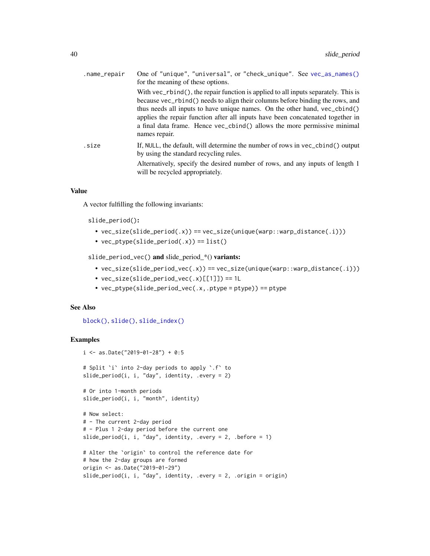<span id="page-39-0"></span>

| .name_repair | One of "unique", "universal", or "check_unique". See vec_as_names()<br>for the meaning of these options.                                                                                                                                                                                                                                                                                                                          |
|--------------|-----------------------------------------------------------------------------------------------------------------------------------------------------------------------------------------------------------------------------------------------------------------------------------------------------------------------------------------------------------------------------------------------------------------------------------|
|              | With vec_rbind(), the repair function is applied to all inputs separately. This is<br>because vec_rbind() needs to align their columns before binding the rows, and<br>thus needs all inputs to have unique names. On the other hand, vec_cbind()<br>applies the repair function after all inputs have been concatenated together in<br>a final data frame. Hence vec_cbind() allows the more permissive minimal<br>names repair. |
| .size        | If, NULL, the default, will determine the number of rows in vec_cbind() output<br>by using the standard recycling rules.<br>Alternatively, specify the desired number of rows, and any inputs of length 1<br>will be recycled appropriately.                                                                                                                                                                                      |

#### Value

A vector fulfilling the following invariants:

slide\_period():

- vec\_size(slide\_period(.x)) == vec\_size(unique(warp::warp\_distance(.i)))
- $vec_ptype(slide_period(.x)) == list()$

slide\_period\_vec() and slide\_period\_\*() variants:

- vec\_size(slide\_period\_vec(.x)) == vec\_size(unique(warp::warp\_distance(.i)))
- vec\_size(slide\_period\_vec(.x)[[1]]) == 1L
- vec\_ptype(slide\_period\_vec(.x,.ptype = ptype)) == ptype

#### See Also

[block\(\)](#page-1-1), [slide\(\)](#page-12-1), [slide\\_index\(\)](#page-24-1)

## Examples

```
i <- as.Date("2019-01-28") + 0:5
# Split `i` into 2-day periods to apply `.f` to
slide_period(i, i, "day", identity, .every = 2)
# Or into 1-month periods
slide_period(i, i, "month", identity)
# Now select:
# - The current 2-day period
# - Plus 1 2-day period before the current one
slide_period(i, i, "day", identity, .every = 2, .before = 1)
# Alter the `origin` to control the reference date for
# how the 2-day groups are formed
origin <- as.Date("2019-01-29")
slide_period(i, i, "day", identity, .every = 2, .origin = origin)
```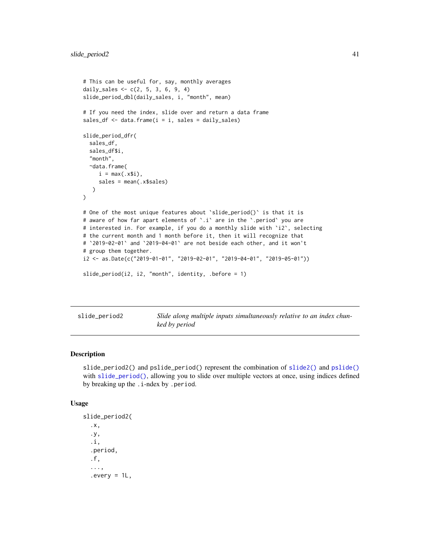```
# This can be useful for, say, monthly averages
daily_sales <- c(2, 5, 3, 6, 9, 4)
slide_period_dbl(daily_sales, i, "month", mean)
# If you need the index, slide over and return a data frame
sales_df \leftarrow data.frame(i = i, sales = daily_sales)slide_period_dfr(
 sales_df,
 sales_df$i,
  "month",
 ~data.frame(
    i = max(.x$ii),
    sales = mean(.x$sales)
  )
)
# One of the most unique features about 'slide_period()' is that it is
# aware of how far apart elements of '.i' are in the '.period' you are
# interested in. For example, if you do a monthly slide with `i2`, selecting
# the current month and 1 month before it, then it will recognize that
# `2019-02-01` and `2019-04-01` are not beside each other, and it won't
# group them together.
i2 <- as.Date(c("2019-01-01", "2019-02-01", "2019-04-01", "2019-05-01"))
slide_period(i2, i2, "month", identity, .before = 1)
```
slide\_period2 *Slide along multiple inputs simultaneously relative to an index chunked by period*

#### Description

slide\_period2() and pslide\_period() represent the combination of [slide2\(\)](#page-17-1) and [pslide\(\)](#page-17-2) with [slide\\_period\(\)](#page-35-1), allowing you to slide over multiple vectors at once, using indices defined by breaking up the .i-ndex by .period.

#### Usage

```
slide_period2(
  .x,
  .y,
  .i,
  .period,
  .f,
  ...,
  every = 1L,
```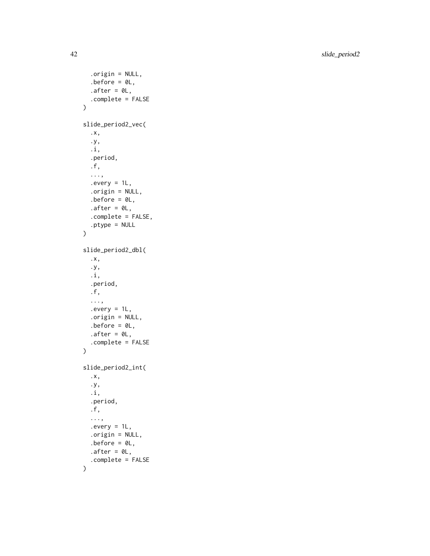42 slide\_period2

```
.origin = NULL,
  before = 0L,after = <math>0L</math>,.complete = FALSE
\mathcal{L}slide_period2_vec(
  .x,
  .y,
  .i,
  .period,
  .f,
  ...,
  every = 1L,.origin = NULL,
  .before = \mathfrak{d}L,
  .after = \emptyset L,
  .complete = FALSE,
  .ptype = NULL
\overline{)}slide_period2_dbl(
  .x,
  .y,
  .i,
  .period,
  .f,
  ...,
  every = 1L,.origin = NULL,
  .before = \mathcal{O}L,
  .after = \mathfrak{D}L,
  .complete = FALSE
\mathcal{L}slide_period2_int(
  .x,
  .y,
  .i,
  .period,
  .f,
  ...,
  every = 1L,.origin = NULL,
  .before = \mathfrak{d}L,
  after = <math>0L</math>,.complete = FALSE
```
 $\mathcal{L}$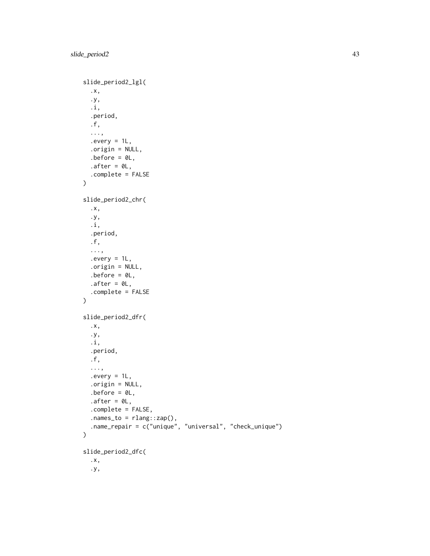```
slide_period2_lgl(
  .x,
  .y,
  .i,
  .period,
  .f,
  ...,
  every = 1L,.origin = NULL,
  .before = \theta L,
  after = <math>ØL</math>,.complete = FALSE
\mathcal{L}slide_period2_chr(
  .x,
  .y,
  .i,
  .period,
  .f,
  ...,
  every = 1L,.origin = NULL,
  before = 0L,after = <math>ØL</math>,.complete = FALSE
\mathcal{L}slide_period2_dfr(
  .x,
  .y,
  .i,
  .period,
  .f,
  ...,
  every = 1L,.origin = NULL,
  before = 0L,after = <math>ØL</math>,.complete = FALSE,
  nanes_to = rlang::cap(),.name_repair = c("unique", "universal", "check_unique")
\mathcal{L}slide_period2_dfc(
  .x,
  .y,
```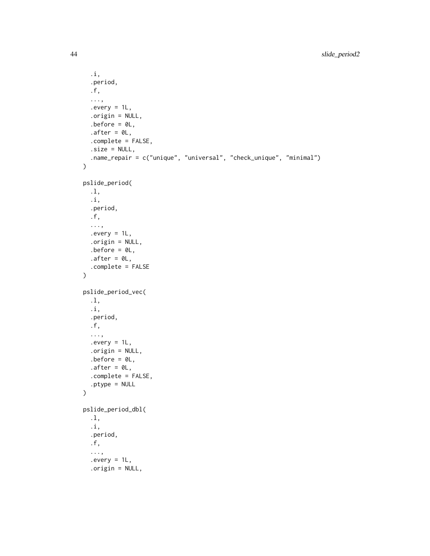```
.i,
  .period,
  .f,
  ...,
  every = 1L,.origin = NULL,
  before = 0L,after = <math>ØL</math>,.complete = FALSE,
  .size = NULL,.name_repair = c("unique", "universal", "check_unique", "minimal")
)
pslide_period(
  .l,
  .i,
  .period,
  .f,
  ...,
  every = 1L,.origin = NULL,
  before = 0L,after = <math>ØL</math>,.complete = FALSE
\mathcal{L}pslide_period_vec(
  .l,
  .i,
  .period,
  .f,
  ...,
  every = 1L,.origin = NULL,
  before = 0L,
  after = <math>ØL</math>,.complete = FALSE,
  .ptype = NULL
\mathcal{L}pslide_period_dbl(
  .l,
  .i,
  .period,
  .f,
  ...,
  every = 1L,.origin = NULL,
```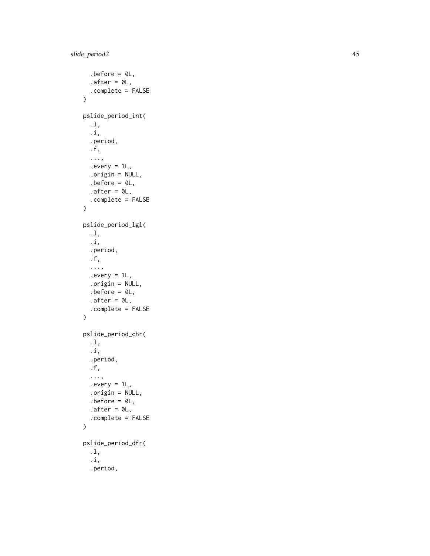```
before = 0L,
  after = <math>ØL</math>,.complete = FALSE
\lambdapslide_period_int(
  .l,
  .i,
  .period,
  .f,
  ...,
  every = 1L,.origin = NULL,
  before = 0L,.after = \mathfrak{D}L,
  .complete = FALSE
\lambdapslide_period_lgl(
  .l,
  .i,
  .period,
  .f,
  ...,
  every = 1L,.origin = NULL,
  before = 0L,
  after = <math>ØL</math>,.complete = FALSE
)
pslide_period_chr(
  .l,
  .i,
  .period,
  .f,
  ...,
  every = 1L,.origin = NULL,
  .before = \theta L,
  after = <math>ØL</math>,.complete = FALSE
\mathcal{L}pslide_period_dfr(
  .l,
  .i,
  .period,
```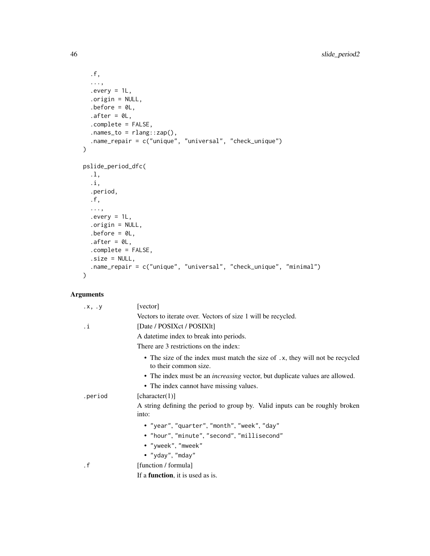```
.f,
  ...,
 every = 1L,.origin = NULL,
 .before = 0L,
 after = <math>0L</math>,.complete = FALSE,
 nanes_to = rlang::cap(),.name_repair = c("unique", "universal", "check_unique")
\mathcal{L}pslide_period_dfc(
 .l,
 .i,
 .period,
 .f,
 ...,
 every = 1L,.origin = NULL,
 before = 0L,
 after = <math>ØL</math>,.complete = FALSE,
 .size = NULL,
  .name_repair = c("unique", "universal", "check_unique", "minimal")
\mathcal{L}
```
## Arguments

| $\cdot$ x, $\cdot$ y | [vector]                                                                                              |
|----------------------|-------------------------------------------------------------------------------------------------------|
|                      | Vectors to iterate over. Vectors of size 1 will be recycled.                                          |
| .i                   | [Date / POSIXct / POSIXIt]                                                                            |
|                      | A date time index to break into periods.                                                              |
|                      | There are 3 restrictions on the index:                                                                |
|                      | • The size of the index must match the size of .x, they will not be recycled<br>to their common size. |
|                      | • The index must be an <i>increasing</i> vector, but duplicate values are allowed.                    |
|                      | • The index cannot have missing values.                                                               |
| .period              | [character(1)]                                                                                        |
|                      | A string defining the period to group by. Valid inputs can be roughly broken<br>into:                 |
|                      | • "year", "quarter", "month", "week", "day"                                                           |
|                      | • "hour", "minute", "second", "millisecond"                                                           |
|                      | • "yweek", "mweek"                                                                                    |
|                      | • "yday", "mday"                                                                                      |
| $\cdot$ f            | [function / formula]                                                                                  |
|                      | If a <b>function</b> , it is used as is.                                                              |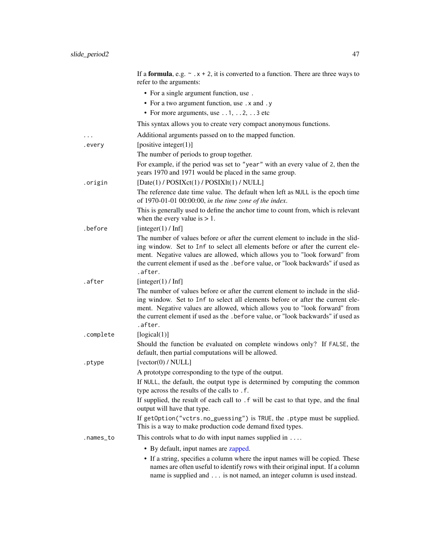<span id="page-46-0"></span>

|           | If a <b>formula</b> , e.g. $\sim x + 2$ , it is converted to a function. There are three ways to<br>refer to the arguments:                                                                                                                                                                                                                      |
|-----------|--------------------------------------------------------------------------------------------------------------------------------------------------------------------------------------------------------------------------------------------------------------------------------------------------------------------------------------------------|
|           | • For a single argument function, use.                                                                                                                                                                                                                                                                                                           |
|           | • For a two argument function, use . x and . y                                                                                                                                                                                                                                                                                                   |
|           | • For more arguments, use $\dots$ 1, $\dots$ 2, $\dots$ 3 etc                                                                                                                                                                                                                                                                                    |
|           | This syntax allows you to create very compact anonymous functions.                                                                                                                                                                                                                                                                               |
| .         | Additional arguments passed on to the mapped function.                                                                                                                                                                                                                                                                                           |
| .every    | [positive integer $(1)$ ]                                                                                                                                                                                                                                                                                                                        |
|           | The number of periods to group together.                                                                                                                                                                                                                                                                                                         |
|           | For example, if the period was set to "year" with an every value of 2, then the<br>years 1970 and 1971 would be placed in the same group.                                                                                                                                                                                                        |
| .origin   | [Date(1) / POSIXct(1) / POSIXlt(1) / NULL]                                                                                                                                                                                                                                                                                                       |
|           | The reference date time value. The default when left as NULL is the epoch time<br>of 1970-01-01 00:00:00, in the time zone of the index.                                                                                                                                                                                                         |
|           | This is generally used to define the anchor time to count from, which is relevant<br>when the every value is $> 1$ .                                                                                                                                                                                                                             |
| .before   | [integer(1) $/$ Inf]                                                                                                                                                                                                                                                                                                                             |
|           | The number of values before or after the current element to include in the slid-<br>ing window. Set to Inf to select all elements before or after the current ele-<br>ment. Negative values are allowed, which allows you to "look forward" from<br>the current element if used as the . before value, or "look backwards" if used as<br>.after. |
| .after    | [integer(1) / Inf]                                                                                                                                                                                                                                                                                                                               |
|           | The number of values before or after the current element to include in the slid-<br>ing window. Set to Inf to select all elements before or after the current ele-<br>ment. Negative values are allowed, which allows you to "look forward" from<br>the current element if used as the . before value, or "look backwards" if used as<br>.after. |
| .complete | [logical(1)]                                                                                                                                                                                                                                                                                                                                     |
|           | Should the function be evaluated on complete windows only? If FALSE, the<br>default, then partial computations will be allowed.                                                                                                                                                                                                                  |
| .ptype    | [vector(0) / NULL]                                                                                                                                                                                                                                                                                                                               |
|           | A prototype corresponding to the type of the output.<br>If NULL, the default, the output type is determined by computing the common<br>type across the results of the calls to . f.                                                                                                                                                              |
|           | If supplied, the result of each call to . f will be cast to that type, and the final<br>output will have that type.                                                                                                                                                                                                                              |
|           | If getOption("vctrs.no_guessing") is TRUE, the .ptype must be supplied.<br>This is a way to make production code demand fixed types.                                                                                                                                                                                                             |
| .names_to | This controls what to do with input names supplied in $\dots$                                                                                                                                                                                                                                                                                    |
|           | • By default, input names are zapped.                                                                                                                                                                                                                                                                                                            |
|           | • If a string, specifies a column where the input names will be copied. These<br>names are often useful to identify rows with their original input. If a column<br>name is supplied and is not named, an integer column is used instead.                                                                                                         |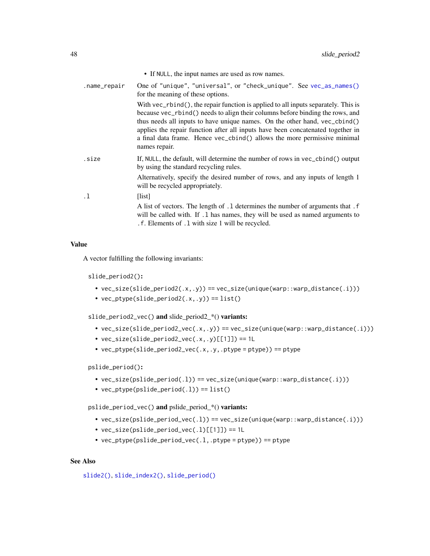<span id="page-47-0"></span>

|              | • If NULL, the input names are used as row names.                                                                                                                                                                                                                                                                                                                                                                              |
|--------------|--------------------------------------------------------------------------------------------------------------------------------------------------------------------------------------------------------------------------------------------------------------------------------------------------------------------------------------------------------------------------------------------------------------------------------|
| .name_repair | One of "unique", "universal", or "check_unique". See vec_as_names()<br>for the meaning of these options.                                                                                                                                                                                                                                                                                                                       |
|              | With $vec_{r}$ the repair function is applied to all inputs separately. This is<br>because vec_rbind() needs to align their columns before binding the rows, and<br>thus needs all inputs to have unique names. On the other hand, vec_cbind()<br>applies the repair function after all inputs have been concatenated together in<br>a final data frame. Hence vec_cbind() allows the more permissive minimal<br>names repair. |
| .size        | If, NULL, the default, will determine the number of rows in vec_cbind() output<br>by using the standard recycling rules.                                                                                                                                                                                                                                                                                                       |
|              | Alternatively, specify the desired number of rows, and any inputs of length 1<br>will be recycled appropriately.                                                                                                                                                                                                                                                                                                               |
| $\cdot$ 1    | [list]                                                                                                                                                                                                                                                                                                                                                                                                                         |
|              | A list of vectors. The length of .1 determines the number of arguments that . f<br>will be called with. If .1 has names, they will be used as named arguments to<br>. f. Elements of . 1 with size 1 will be recycled.                                                                                                                                                                                                         |

#### Value

A vector fulfilling the following invariants:

slide\_period2():

- vec\_size(slide\_period2(.x,.y)) == vec\_size(unique(warp::warp\_distance(.i)))
- vec\_ptype(slide\_period2(.x,.y)) == list()

slide\_period2\_vec() and slide\_period2\_\*() variants:

- $vec_size(\text{slide\_period2\_vec}(x, .y)) == vec_size(\text{unique}(\text{warp::warp\_distance}(.i)))$
- $vec\_size(s)$  ide\_period2\_vec(.x,.y)[[1]]) == 1L
- vec\_ptype(slide\_period2\_vec(.x,.y,.ptype = ptype)) == ptype

pslide\_period():

- vec\_size(pslide\_period(.l)) == vec\_size(unique(warp::warp\_distance(.i)))
- $vec_ptpte(pslide_period(.1)) == list()$

pslide\_period\_vec() and pslide\_period\_\*() variants:

- vec\_size(pslide\_period\_vec(.l)) == vec\_size(unique(warp::warp\_distance(.i)))
- vec\_size(pslide\_period\_vec(.l)[[1]]) == 1L
- vec\_ptype(pslide\_period\_vec(.l,.ptype = ptype)) == ptype

#### See Also

[slide2\(\)](#page-17-1), [slide\\_index2\(\)](#page-29-1), [slide\\_period\(\)](#page-35-1)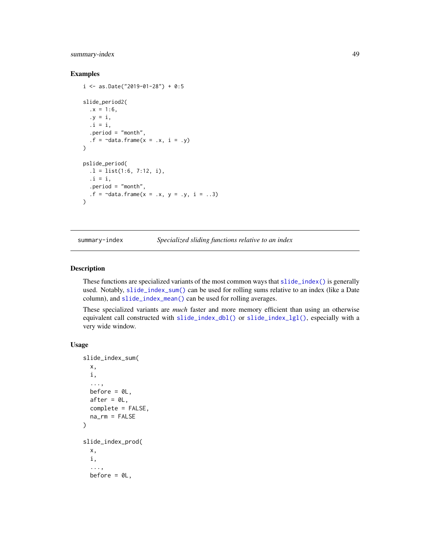## <span id="page-48-0"></span>summary-index 49

#### Examples

```
i \le - as.Date("2019-01-28") + 0:5
slide_period2(
  .x = 1:6.y = i,
  \mathbf{i} = \mathbf{i},
  .period = "month",
  .f = \neg data.frame(x = .x, i = .y)
\mathcal{L}pslide_period(
  .l = list(1:6, 7:12, i),
  \mathbf{i} = \mathbf{i},
  .period = "month",
  .f = \text{'}data.frame(x = .x, y = .y, i = ..3)
\mathcal{L}
```
summary-index *Specialized sliding functions relative to an index*

#### <span id="page-48-1"></span>Description

These functions are specialized variants of the most common ways that [slide\\_index\(\)](#page-24-1) is generally used. Notably, [slide\\_index\\_sum\(\)](#page-48-1) can be used for rolling sums relative to an index (like a Date column), and [slide\\_index\\_mean\(\)](#page-48-1) can be used for rolling averages.

These specialized variants are *much* faster and more memory efficient than using an otherwise equivalent call constructed with [slide\\_index\\_dbl\(\)](#page-24-2) or [slide\\_index\\_lgl\(\)](#page-24-2), especially with a very wide window.

#### Usage

```
slide_index_sum(
  x,
  i,
  ...,
  before = \mathcal{O}L,
  after = <math>0L</math>,complete = FALSE,
  na_rm = FALSE
\mathcal{L}slide_index_prod(
  x,
  i,
  ...,
  before = \mathcal{O}L,
```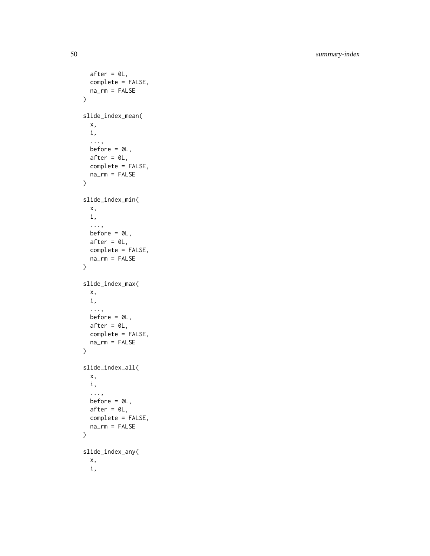50 summary-index

```
after = <math>0L</math>,complete = FALSE,
  na_rm = FALSE
\mathcal{L}slide_index_mean(
  x,
  i,
  ...,
  before = \thetaL,
  after = <math>0L</math>,complete = FALSE,
  na_rm = FALSE
\mathcal{L}slide_index_min(
  x,
  i,
  ...,
  before = \thetaL,
  after = 0L,complete = FALSE,
  na_rm = FALSE
\mathcal{L}slide_index_max(
  x,
  i,
  ...,
  before = 0L,
  after = <math>0L</math>,complete = FALSE,
  na_rm = FALSE
\mathcal{L}slide_index_all(
  x,
  i,
  ...,
  before = \theta L,
  after = <math>0L</math>,complete = FALSE,
  na_rm = FALSE
)
slide_index_any(
  x,
  i,
```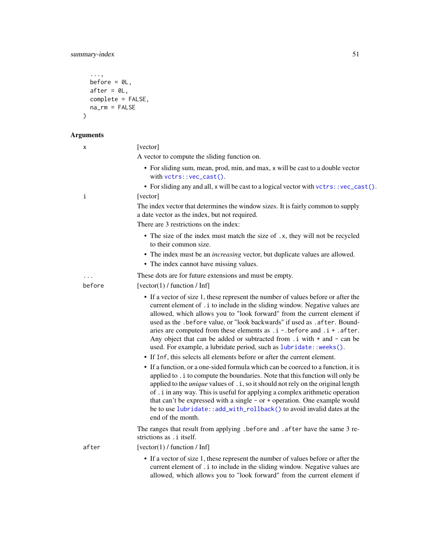## <span id="page-50-0"></span>summary-index 51

```
...,
 before = \thetaL,
 after = 0L,complete = FALSE,na\_rm = FALSE)
```
## A

| <b>Arguments</b> |                                                                                                                                                                                                                                                                                                                                                                                                                                                                                                                                                                        |
|------------------|------------------------------------------------------------------------------------------------------------------------------------------------------------------------------------------------------------------------------------------------------------------------------------------------------------------------------------------------------------------------------------------------------------------------------------------------------------------------------------------------------------------------------------------------------------------------|
| X                | [vector]                                                                                                                                                                                                                                                                                                                                                                                                                                                                                                                                                               |
|                  | A vector to compute the sliding function on.                                                                                                                                                                                                                                                                                                                                                                                                                                                                                                                           |
|                  | • For sliding sum, mean, prod, min, and max, x will be cast to a double vector<br>with vctrs::vec_cast().                                                                                                                                                                                                                                                                                                                                                                                                                                                              |
|                  | • For sliding any and all, x will be cast to a logical vector with vctrs:: vec_cast().                                                                                                                                                                                                                                                                                                                                                                                                                                                                                 |
| i                | [vector]                                                                                                                                                                                                                                                                                                                                                                                                                                                                                                                                                               |
|                  | The index vector that determines the window sizes. It is fairly common to supply<br>a date vector as the index, but not required.                                                                                                                                                                                                                                                                                                                                                                                                                                      |
|                  | There are 3 restrictions on the index:                                                                                                                                                                                                                                                                                                                                                                                                                                                                                                                                 |
|                  | • The size of the index must match the size of .x, they will not be recycled<br>to their common size.                                                                                                                                                                                                                                                                                                                                                                                                                                                                  |
|                  | • The index must be an <i>increasing</i> vector, but duplicate values are allowed.                                                                                                                                                                                                                                                                                                                                                                                                                                                                                     |
|                  | • The index cannot have missing values.                                                                                                                                                                                                                                                                                                                                                                                                                                                                                                                                |
|                  | These dots are for future extensions and must be empty.                                                                                                                                                                                                                                                                                                                                                                                                                                                                                                                |
| before           | [vector(1) / function / Inf]                                                                                                                                                                                                                                                                                                                                                                                                                                                                                                                                           |
|                  | • If a vector of size 1, these represent the number of values before or after the<br>current element of . i to include in the sliding window. Negative values are<br>allowed, which allows you to "look forward" from the current element if<br>used as the .before value, or "look backwards" if used as .after. Bound-<br>aries are computed from these elements as $.i - .$ before and $.i + .$ after.<br>Any object that can be added or subtracted from $\ldots$ i with $+$ and $-$ can be<br>used. For example, a lubridate period, such as lubridate:: weeks(). |
|                  | • If Inf, this selects all elements before or after the current element.                                                                                                                                                                                                                                                                                                                                                                                                                                                                                               |
|                  | • If a function, or a one-sided formula which can be coerced to a function, it is<br>applied to . i to compute the boundaries. Note that this function will only be<br>applied to the <i>unique</i> values of . i, so it should not rely on the original length<br>of . i in any way. This is useful for applying a complex arithmetic operation<br>that can't be expressed with a single $-$ or $+$ operation. One example would<br>be to use lubridate::add_with_rollback() to avoid invalid dates at the<br>end of the month.                                       |
|                  | The ranges that result from applying. before and . after have the same 3 re-<br>strictions as . <i>i</i> itself.                                                                                                                                                                                                                                                                                                                                                                                                                                                       |
| after            | [vector(1) / function / Inf]                                                                                                                                                                                                                                                                                                                                                                                                                                                                                                                                           |
|                  | • If a vector of size 1, these represent the number of values before or after the<br>current element of . i to include in the sliding window. Negative values are<br>allowed, which allows you to "look forward" from the current element if                                                                                                                                                                                                                                                                                                                           |
|                  |                                                                                                                                                                                                                                                                                                                                                                                                                                                                                                                                                                        |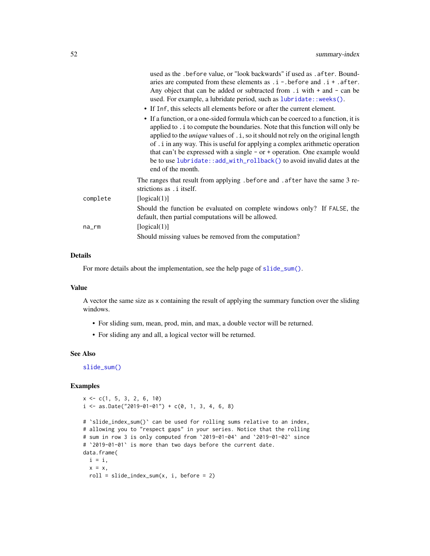<span id="page-51-0"></span>

|          | used as the . before value, or "look backwards" if used as . after. Bound-<br>aries are computed from these elements as $\ldots$ i - before and $\ldots$ + $\ldots$ after.<br>Any object that can be added or subtracted from $\ldots$ i with $+$ and $-$ can be<br>used. For example, a lubridate period, such as lubridate:: weeks().                                                                                                                                                                                          |
|----------|----------------------------------------------------------------------------------------------------------------------------------------------------------------------------------------------------------------------------------------------------------------------------------------------------------------------------------------------------------------------------------------------------------------------------------------------------------------------------------------------------------------------------------|
|          | • If Inf, this selects all elements before or after the current element.                                                                                                                                                                                                                                                                                                                                                                                                                                                         |
|          | • If a function, or a one-sided formula which can be coerced to a function, it is<br>applied to . i to compute the boundaries. Note that this function will only be<br>applied to the <i>unique</i> values of . i, so it should not rely on the original length<br>of . i in any way. This is useful for applying a complex arithmetic operation<br>that can't be expressed with a single $-$ or $+$ operation. One example would<br>be to use lubridate::add_with_rollback() to avoid invalid dates at the<br>end of the month. |
|          | The ranges that result from applying. before and . after have the same 3 re-<br>strictions as . i itself.                                                                                                                                                                                                                                                                                                                                                                                                                        |
| complete | [logical(1)]                                                                                                                                                                                                                                                                                                                                                                                                                                                                                                                     |
|          | Should the function be evaluated on complete windows only? If FALSE, the<br>default, then partial computations will be allowed.                                                                                                                                                                                                                                                                                                                                                                                                  |
| na_rm    | [logical(1)]                                                                                                                                                                                                                                                                                                                                                                                                                                                                                                                     |
|          | Should missing values be removed from the computation?                                                                                                                                                                                                                                                                                                                                                                                                                                                                           |
|          |                                                                                                                                                                                                                                                                                                                                                                                                                                                                                                                                  |

## Details

For more details about the implementation, see the help page of [slide\\_sum\(\)](#page-52-1).

## Value

A vector the same size as x containing the result of applying the summary function over the sliding windows.

- For sliding sum, mean, prod, min, and max, a double vector will be returned.
- For sliding any and all, a logical vector will be returned.

#### See Also

[slide\\_sum\(\)](#page-52-1)

## Examples

```
x \leq -c(1, 5, 3, 2, 6, 10)i \leq - as.Date("2019-01-01") + c(0, 1, 3, 4, 6, 8)
```

```
# `slide_index_sum()` can be used for rolling sums relative to an index,
# allowing you to "respect gaps" in your series. Notice that the rolling
# sum in row 3 is only computed from `2019-01-04` and `2019-01-02` since
# `2019-01-01` is more than two days before the current date.
data.frame(
 i = i,
  x = x,
  roll = slide_index_sum(x, i, before = 2)
```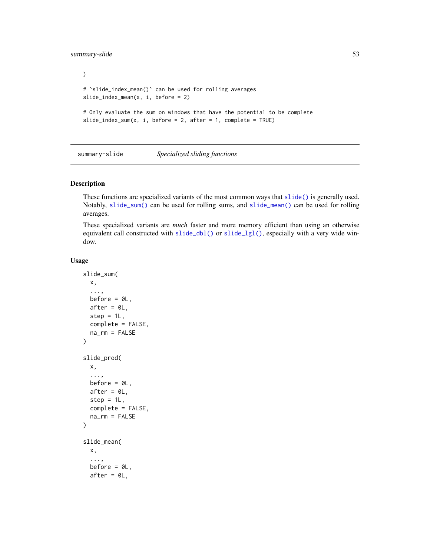## <span id="page-52-0"></span>summary-slide 53

```
)
# `slide_index_mean()` can be used for rolling averages
slide_index_mean(x, i, before = 2)
# Only evaluate the sum on windows that have the potential to be complete
slide_index_sum(x, i, before = 2, after = 1, complete = TRUE)
```
summary-slide *Specialized sliding functions*

#### <span id="page-52-1"></span>Description

These functions are specialized variants of the most common ways that [slide\(\)](#page-12-1) is generally used. Notably, [slide\\_sum\(\)](#page-52-1) can be used for rolling sums, and [slide\\_mean\(\)](#page-52-1) can be used for rolling averages.

These specialized variants are *much* faster and more memory efficient than using an otherwise equivalent call constructed with [slide\\_dbl\(\)](#page-12-2) or [slide\\_lgl\(\)](#page-12-2), especially with a very wide window.

#### Usage

```
slide_sum(
 x,
  ...,
 before = OL,
  after = 0L,step = 1L,
  complete = FALSE,
  na_rm = FALSE
\lambdaslide_prod(
  x,
  ...,
 before = 0L,
  after = 0L,step = 1L,
  complete = FALSE,
  na_rm = FALSE
\mathcal{L}slide_mean(
  x,
  ...,
  before = \mathcal{O}L,
  after = 0L,
```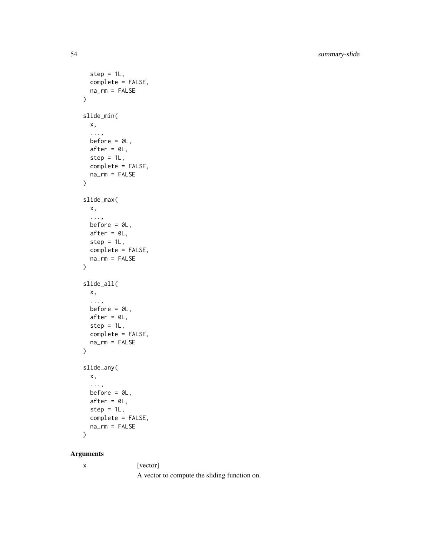54 summary-slide

```
step = 1L,
  complete = FALSE,
  na_rm = FALSE
\mathcal{L}slide_min(
  x,
  ...,
  before = \theta L,
  after = <math>0L</math>,step = 1L,complete = FALSE,
  na_rm = FALSE
\mathcal{L}slide_max(
  x,
  ...,
  before = \thetaL,
  after = 0L,step = 1L,
  complete = FALSE,
  na_rm = FALSE
\mathcal{L}slide_all(
  x,
  ...,
  before = OL,
  after = 0L,
  step = 1L,
  complete = FALSE,
  na_rm = FALSE
\mathcal{L}slide_any(
  x,
  ...,
  before = \theta L,
  after = 0L,step = 1L,
  complete = FALSE,
  na_rm = FALSE
\lambda
```
## Arguments

x [vector]

A vector to compute the sliding function on.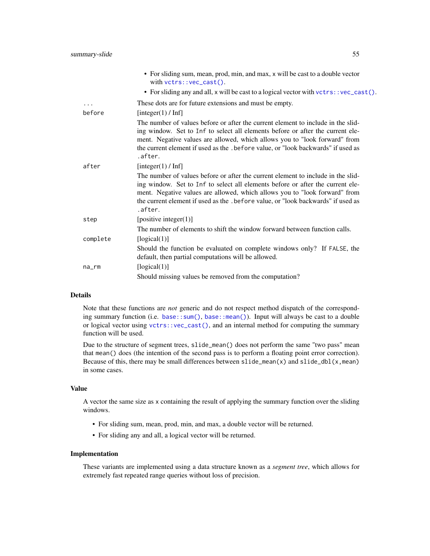<span id="page-54-0"></span>

|          | • For sliding sum, mean, prod, min, and max, x will be cast to a double vector<br>with $vctrs::vec\_cast()$ .                                                                                                                                                                                                                                    |
|----------|--------------------------------------------------------------------------------------------------------------------------------------------------------------------------------------------------------------------------------------------------------------------------------------------------------------------------------------------------|
|          | • For sliding any and all, x will be cast to a logical vector with vctrs:: vec_cast().                                                                                                                                                                                                                                                           |
| $\cdots$ | These dots are for future extensions and must be empty.                                                                                                                                                                                                                                                                                          |
| before   | [integer(1) / Inf]                                                                                                                                                                                                                                                                                                                               |
|          | The number of values before or after the current element to include in the slid-<br>ing window. Set to Inf to select all elements before or after the current ele-<br>ment. Negative values are allowed, which allows you to "look forward" from<br>the current element if used as the . before value, or "look backwards" if used as<br>.after. |
| after    | [integer(1) / Inf]                                                                                                                                                                                                                                                                                                                               |
|          | The number of values before or after the current element to include in the slid-<br>ing window. Set to Inf to select all elements before or after the current ele-<br>ment. Negative values are allowed, which allows you to "look forward" from<br>the current element if used as the . before value, or "look backwards" if used as<br>.after. |
| step     | [positive integer(1)]                                                                                                                                                                                                                                                                                                                            |
|          | The number of elements to shift the window forward between function calls.                                                                                                                                                                                                                                                                       |
| complete | [logical(1)]                                                                                                                                                                                                                                                                                                                                     |
|          | Should the function be evaluated on complete windows only? If FALSE, the<br>default, then partial computations will be allowed.                                                                                                                                                                                                                  |
| na_rm    | [logical(1)]                                                                                                                                                                                                                                                                                                                                     |
|          | Should missing values be removed from the computation?                                                                                                                                                                                                                                                                                           |

## Details

Note that these functions are *not* generic and do not respect method dispatch of the corresponding summary function (i.e. [base::sum\(\)](#page-0-0), [base::mean\(\)](#page-0-0)). Input will always be cast to a double or logical vector using [vctrs::vec\\_cast\(\)](#page-0-0), and an internal method for computing the summary function will be used.

Due to the structure of segment trees, slide\_mean() does not perform the same "two pass" mean that mean() does (the intention of the second pass is to perform a floating point error correction). Because of this, there may be small differences between  $\text{slide\_mean}(x)$  and  $\text{slide\_dbl}(x, \text{mean})$ in some cases.

#### Value

A vector the same size as x containing the result of applying the summary function over the sliding windows.

- For sliding sum, mean, prod, min, and max, a double vector will be returned.
- For sliding any and all, a logical vector will be returned.

#### Implementation

These variants are implemented using a data structure known as a *segment tree*, which allows for extremely fast repeated range queries without loss of precision.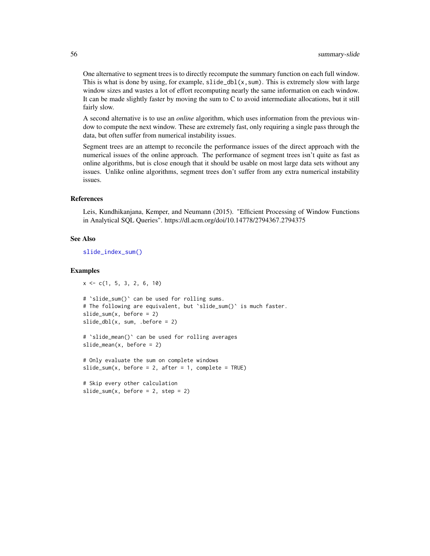<span id="page-55-0"></span>One alternative to segment trees is to directly recompute the summary function on each full window. This is what is done by using, for example,  $\text{slide\_dbl}(x, \text{sum})$ . This is extremely slow with large window sizes and wastes a lot of effort recomputing nearly the same information on each window. It can be made slightly faster by moving the sum to C to avoid intermediate allocations, but it still fairly slow.

A second alternative is to use an *online* algorithm, which uses information from the previous window to compute the next window. These are extremely fast, only requiring a single pass through the data, but often suffer from numerical instability issues.

Segment trees are an attempt to reconcile the performance issues of the direct approach with the numerical issues of the online approach. The performance of segment trees isn't quite as fast as online algorithms, but is close enough that it should be usable on most large data sets without any issues. Unlike online algorithms, segment trees don't suffer from any extra numerical instability issues.

#### References

Leis, Kundhikanjana, Kemper, and Neumann (2015). "Efficient Processing of Window Functions in Analytical SQL Queries". https://dl.acm.org/doi/10.14778/2794367.2794375

#### See Also

[slide\\_index\\_sum\(\)](#page-48-1)

#### Examples

```
x \leq -c(1, 5, 3, 2, 6, 10)
```

```
# `slide_sum()` can be used for rolling sums.
# The following are equivalent, but 'slide_sum()' is much faster.
slide\_sum(x, before = 2)slide_dbl(x, sum, .before = 2)
```

```
# `slide_mean()` can be used for rolling averages
slide_mean(x, before = 2)
```
# Only evaluate the sum on complete windows slide\_sum(x, before = 2, after = 1, complete = TRUE)

```
# Skip every other calculation
slide_sum(x, before = 2, step = 2)
```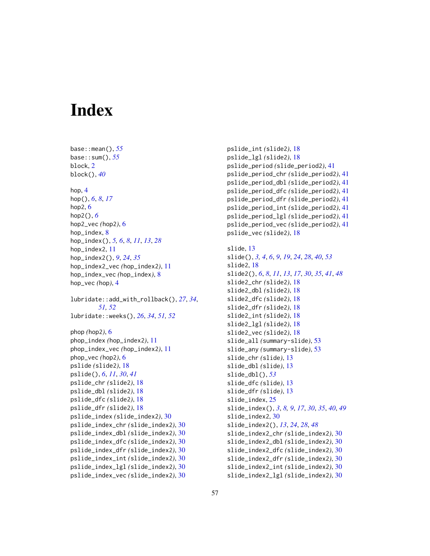# <span id="page-56-0"></span>**Index**

base::mean(), *[55](#page-54-0)* base::sum(), *[55](#page-54-0)* block, [2](#page-1-0) block(), *[40](#page-39-0)* hop, [4](#page-3-0) hop(), *[6](#page-5-0)*, *[8](#page-7-0)*, *[17](#page-16-0)* hop2, [6](#page-5-0) hop2(), *[6](#page-5-0)* hop2\_vec *(*hop2*)*, [6](#page-5-0) hop\_index, [8](#page-7-0) hop\_index(), *[5,](#page-4-0) [6](#page-5-0)*, *[8](#page-7-0)*, *[11](#page-10-0)*, *[13](#page-12-0)*, *[28](#page-27-0)* hop\_index2, [11](#page-10-0) hop\_index2(), *[9](#page-8-0)*, *[24](#page-23-0)*, *[35](#page-34-0)* hop\_index2\_vec *(*hop\_index2*)*, [11](#page-10-0) hop\_index\_vec *(*hop\_index*)*, [8](#page-7-0) hop\_vec *(*hop*)*, [4](#page-3-0) lubridate::add\_with\_rollback(), *[27](#page-26-0)*, *[34](#page-33-0)*, *[51,](#page-50-0) [52](#page-51-0)* lubridate::weeks(), *[26](#page-25-0)*, *[34](#page-33-0)*, *[51,](#page-50-0) [52](#page-51-0)* phop *(*hop2*)*, [6](#page-5-0) phop\_index *(*hop\_index2*)*, [11](#page-10-0) phop\_index\_vec *(*hop\_index2*)*, [11](#page-10-0) phop\_vec *(*hop2*)*, [6](#page-5-0) pslide *(*slide2*)*, [18](#page-17-0) pslide(), *[6](#page-5-0)*, *[11](#page-10-0)*, *[30](#page-29-0)*, *[41](#page-40-0)* pslide\_chr *(*slide2*)*, [18](#page-17-0) pslide\_dbl *(*slide2*)*, [18](#page-17-0) pslide\_dfc *(*slide2*)*, [18](#page-17-0) pslide\_dfr *(*slide2*)*, [18](#page-17-0) pslide\_index *(*slide\_index2*)*, [30](#page-29-0) pslide\_index\_chr *(*slide\_index2*)*, [30](#page-29-0) pslide\_index\_dbl *(*slide\_index2*)*, [30](#page-29-0) pslide\_index\_dfc *(*slide\_index2*)*, [30](#page-29-0) pslide\_index\_dfr *(*slide\_index2*)*, [30](#page-29-0) pslide\_index\_int *(*slide\_index2*)*, [30](#page-29-0) pslide\_index\_lgl *(*slide\_index2*)*, [30](#page-29-0) pslide\_index\_vec *(*slide\_index2*)*, [30](#page-29-0)

pslide\_int *(*slide2*)*, [18](#page-17-0) pslide\_lgl *(*slide2*)*, [18](#page-17-0) pslide\_period *(*slide\_period2*)*, [41](#page-40-0) pslide\_period\_chr *(*slide\_period2*)*, [41](#page-40-0) pslide\_period\_dbl *(*slide\_period2*)*, [41](#page-40-0) pslide\_period\_dfc *(*slide\_period2*)*, [41](#page-40-0) pslide\_period\_dfr *(*slide\_period2*)*, [41](#page-40-0) pslide\_period\_int *(*slide\_period2*)*, [41](#page-40-0) pslide\_period\_lgl *(*slide\_period2*)*, [41](#page-40-0) pslide\_period\_vec *(*slide\_period2*)*, [41](#page-40-0) pslide\_vec *(*slide2*)*, [18](#page-17-0) slide, [13](#page-12-0) slide(), *[3,](#page-2-0) [4](#page-3-0)*, *[6](#page-5-0)*, *[9](#page-8-0)*, *[19](#page-18-0)*, *[24](#page-23-0)*, *[28](#page-27-0)*, *[40](#page-39-0)*, *[53](#page-52-0)* slide2, [18](#page-17-0) slide2(), *[6](#page-5-0)*, *[8](#page-7-0)*, *[11](#page-10-0)*, *[13](#page-12-0)*, *[17](#page-16-0)*, *[30](#page-29-0)*, *[35](#page-34-0)*, *[41](#page-40-0)*, *[48](#page-47-0)* slide2\_chr *(*slide2*)*, [18](#page-17-0) slide2\_dbl *(*slide2*)*, [18](#page-17-0) slide2\_dfc *(*slide2*)*, [18](#page-17-0) slide2\_dfr *(*slide2*)*, [18](#page-17-0) slide2\_int *(*slide2*)*, [18](#page-17-0) slide2\_lgl *(*slide2*)*, [18](#page-17-0) slide2\_vec *(*slide2*)*, [18](#page-17-0) slide\_all *(*summary-slide*)*, [53](#page-52-0) slide\_any *(*summary-slide*)*, [53](#page-52-0) slide\_chr *(*slide*)*, [13](#page-12-0) slide\_dbl *(*slide*)*, [13](#page-12-0) slide\_dbl(), *[53](#page-52-0)* slide\_dfc *(*slide*)*, [13](#page-12-0) slide\_dfr *(*slide*)*, [13](#page-12-0) slide\_index, [25](#page-24-0) slide\_index(), *[3](#page-2-0)*, *[8,](#page-7-0) [9](#page-8-0)*, *[17](#page-16-0)*, *[30](#page-29-0)*, *[35](#page-34-0)*, *[40](#page-39-0)*, *[49](#page-48-0)* slide\_index2, [30](#page-29-0) slide\_index2(), *[13](#page-12-0)*, *[24](#page-23-0)*, *[28](#page-27-0)*, *[48](#page-47-0)* slide\_index2\_chr *(*slide\_index2*)*, [30](#page-29-0) slide\_index2\_dbl *(*slide\_index2*)*, [30](#page-29-0) slide\_index2\_dfc *(*slide\_index2*)*, [30](#page-29-0) slide\_index2\_dfr *(*slide\_index2*)*, [30](#page-29-0)

slide\_index2\_int *(*slide\_index2*)*, [30](#page-29-0) slide\_index2\_lgl *(*slide\_index2*)*, [30](#page-29-0)